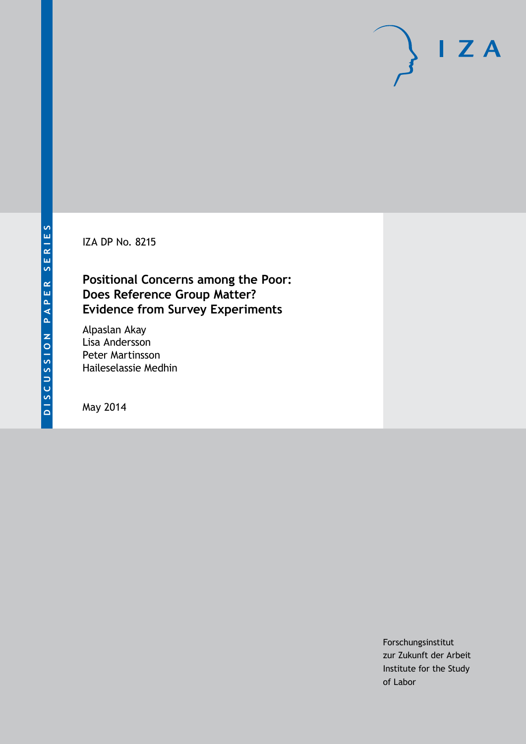IZA DP No. 8215

## **Positional Concerns among the Poor: Does Reference Group Matter? Evidence from Survey Experiments**

Alpaslan Akay Lisa Andersson Peter Martinsson Haileselassie Medhin

May 2014

Forschungsinstitut zur Zukunft der Arbeit Institute for the Study of Labor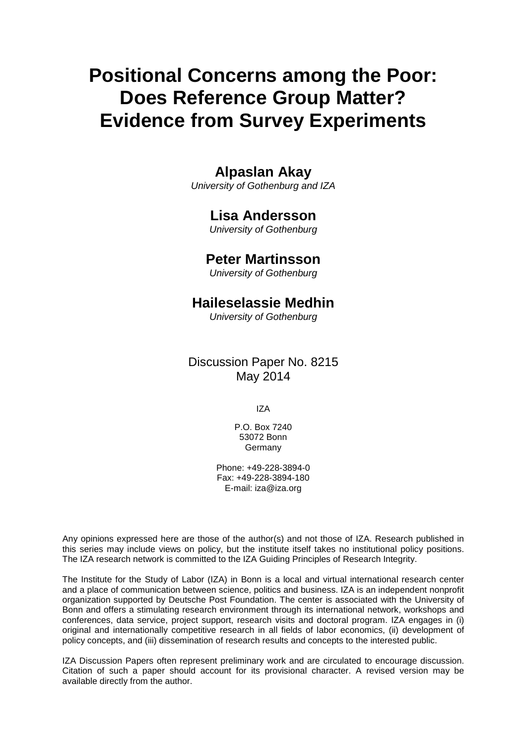# **Positional Concerns among the Poor: Does Reference Group Matter? Evidence from Survey Experiments**

## **Alpaslan Akay**

*University of Gothenburg and IZA*

### **Lisa Andersson**

*University of Gothenburg*

### **Peter Martinsson**

*University of Gothenburg*

## **Haileselassie Medhin**

*University of Gothenburg*

Discussion Paper No. 8215 May 2014

IZA

P.O. Box 7240 53072 Bonn **Germany** 

Phone: +49-228-3894-0 Fax: +49-228-3894-180 E-mail: [iza@iza.org](mailto:iza@iza.org)

Any opinions expressed here are those of the author(s) and not those of IZA. Research published in this series may include views on policy, but the institute itself takes no institutional policy positions. The IZA research network is committed to the IZA Guiding Principles of Research Integrity.

The Institute for the Study of Labor (IZA) in Bonn is a local and virtual international research center and a place of communication between science, politics and business. IZA is an independent nonprofit organization supported by Deutsche Post Foundation. The center is associated with the University of Bonn and offers a stimulating research environment through its international network, workshops and conferences, data service, project support, research visits and doctoral program. IZA engages in (i) original and internationally competitive research in all fields of labor economics, (ii) development of policy concepts, and (iii) dissemination of research results and concepts to the interested public.

<span id="page-1-0"></span>IZA Discussion Papers often represent preliminary work and are circulated to encourage discussion. Citation of such a paper should account for its provisional character. A revised version may be available directly from the author.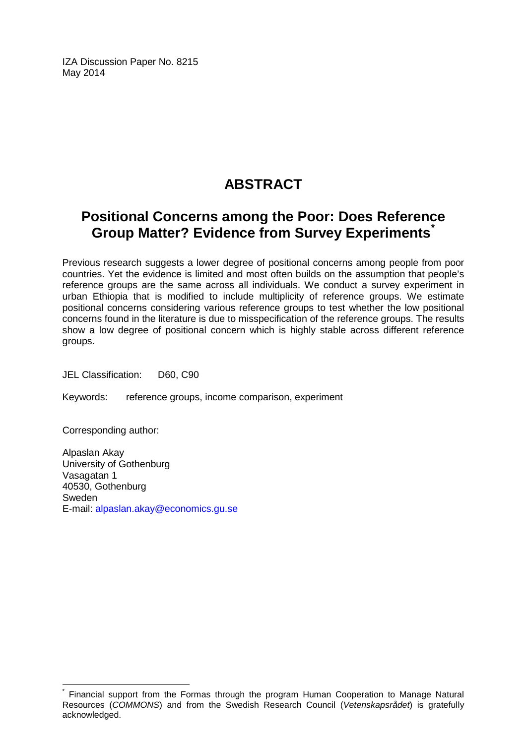IZA Discussion Paper No. 8215 May 2014

## **ABSTRACT**

## **Positional Concerns among the Poor: Does Reference Group Matter? Evidence from Survey Experiments[\\*](#page-1-0)**

Previous research suggests a lower degree of positional concerns among people from poor countries. Yet the evidence is limited and most often builds on the assumption that people's reference groups are the same across all individuals. We conduct a survey experiment in urban Ethiopia that is modified to include multiplicity of reference groups. We estimate positional concerns considering various reference groups to test whether the low positional concerns found in the literature is due to misspecification of the reference groups. The results show a low degree of positional concern which is highly stable across different reference groups.

JEL Classification: D60, C90

Keywords: reference groups, income comparison, experiment

Corresponding author:

Alpaslan Akay University of Gothenburg Vasagatan 1 40530, Gothenburg Sweden E-mail: [alpaslan.akay@economics.gu.se](mailto:alpaslan.akay@economics.gu.se)

Financial support from the Formas through the program Human Cooperation to Manage Natural Resources (*COMMONS*) and from the Swedish Research Council (*Vetenskapsrådet*) is gratefully acknowledged.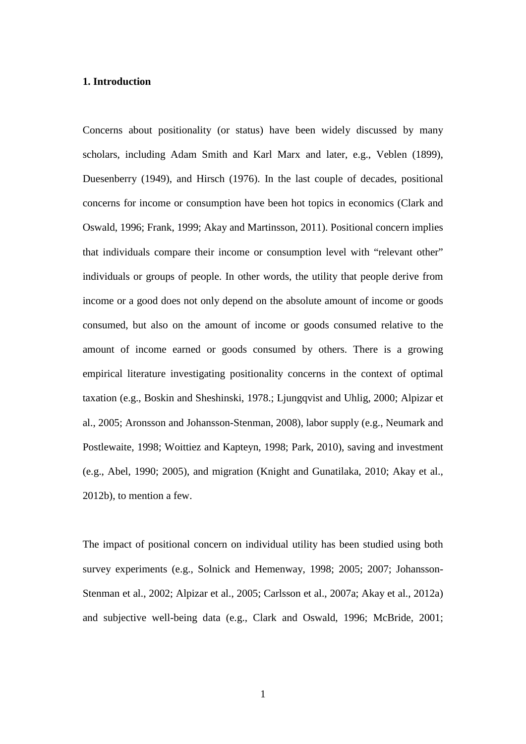#### **1. Introduction**

Concerns about positionality (or status) have been widely discussed by many scholars, including Adam Smith and Karl Marx and later, e.g., Veblen (1899), Duesenberry (1949), and Hirsch (1976). In the last couple of decades, positional concerns for income or consumption have been hot topics in economics (Clark and Oswald, 1996; Frank, 1999; Akay and Martinsson, 2011). Positional concern implies that individuals compare their income or consumption level with "relevant other" individuals or groups of people. In other words, the utility that people derive from income or a good does not only depend on the absolute amount of income or goods consumed, but also on the amount of income or goods consumed relative to the amount of income earned or goods consumed by others. There is a growing empirical literature investigating positionality concerns in the context of optimal taxation (e.g., Boskin and Sheshinski, 1978.; Ljungqvist and Uhlig, 2000; Alpizar et al., 2005; Aronsson and Johansson-Stenman, 2008), labor supply (e.g., Neumark and Postlewaite, 1998; Woittiez and Kapteyn, 1998; Park, 2010), saving and investment (e.g., Abel, 1990; 2005), and migration (Knight and Gunatilaka, 2010; Akay et al., 2012b), to mention a few.

The impact of positional concern on individual utility has been studied using both survey experiments (e.g., Solnick and Hemenway, 1998; 2005; 2007; Johansson-Stenman et al., 2002; Alpizar et al., 2005; Carlsson et al., 2007a; Akay et al., 2012a) and subjective well-being data (e.g., Clark and Oswald, 1996; McBride, 2001;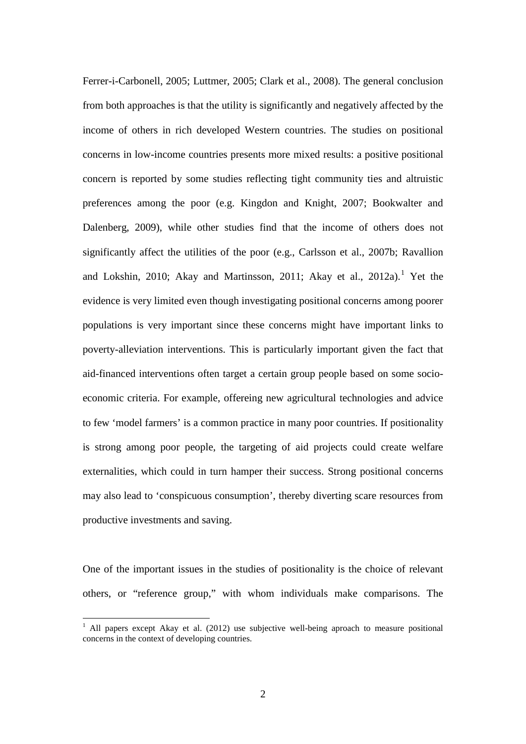Ferrer-i-Carbonell, 2005; Luttmer, 2005; Clark et al., 2008). The general conclusion from both approaches is that the utility is significantly and negatively affected by the income of others in rich developed Western countries. The studies on positional concerns in low-income countries presents more mixed results: a positive positional concern is reported by some studies reflecting tight community ties and altruistic preferences among the poor (e.g. Kingdon and Knight, 2007; Bookwalter and Dalenberg, 2009), while other studies find that the income of others does not significantly affect the utilities of the poor (e.g., Carlsson et al., 2007b; Ravallion and Lokshin, 2010; Akay and Martinsson, 2011; Akay et al., 2012a).<sup>1</sup> Yet the evidence is very limited even though investigating positional concerns among poorer populations is very important since these concerns might have important links to poverty-alleviation interventions. This is particularly important given the fact that aid-financed interventions often target a certain group people based on some socioeconomic criteria. For example, offereing new agricultural technologies and advice to few 'model farmers' is a common practice in many poor countries. If positionality is strong among poor people, the targeting of aid projects could create welfare externalities, which could in turn hamper their success. Strong positional concerns may also lead to 'conspicuous consumption', thereby diverting scare resources from productive investments and saving.

<span id="page-4-0"></span>One of the important issues in the studies of positionality is the choice of relevant others, or "reference group," with whom individuals make comparisons. The

 $1$  All papers except Akay et al. (2012) use subjective well-being aproach to measure positional concerns in the context of developing countries.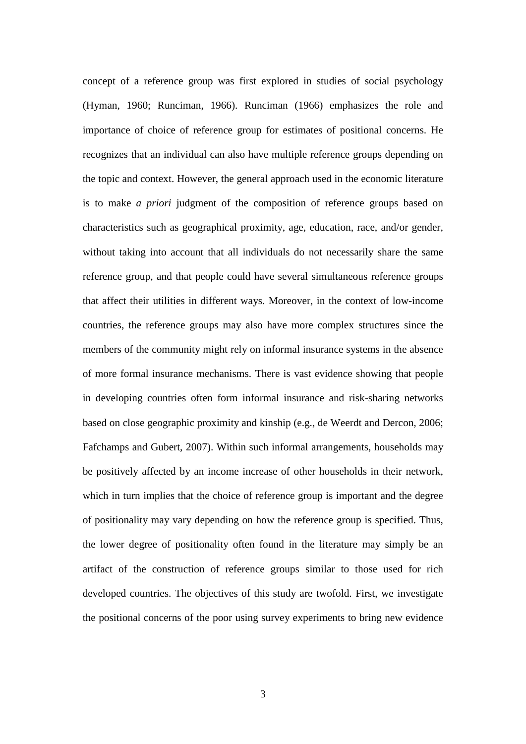concept of a reference group was first explored in studies of social psychology (Hyman, 1960; Runciman, 1966). Runciman (1966) emphasizes the role and importance of choice of reference group for estimates of positional concerns. He recognizes that an individual can also have multiple reference groups depending on the topic and context. However, the general approach used in the economic literature is to make *a priori* judgment of the composition of reference groups based on characteristics such as geographical proximity, age, education, race, and/or gender, without taking into account that all individuals do not necessarily share the same reference group, and that people could have several simultaneous reference groups that affect their utilities in different ways. Moreover, in the context of low-income countries, the reference groups may also have more complex structures since the members of the community might rely on informal insurance systems in the absence of more formal insurance mechanisms. There is vast evidence showing that people in developing countries often form informal insurance and risk-sharing networks based on close geographic proximity and kinship (e.g., de Weerdt and Dercon, 2006; Fafchamps and Gubert, 2007). Within such informal arrangements, households may be positively affected by an income increase of other households in their network, which in turn implies that the choice of reference group is important and the degree of positionality may vary depending on how the reference group is specified. Thus, the lower degree of positionality often found in the literature may simply be an artifact of the construction of reference groups similar to those used for rich developed countries. The objectives of this study are twofold. First, we investigate the positional concerns of the poor using survey experiments to bring new evidence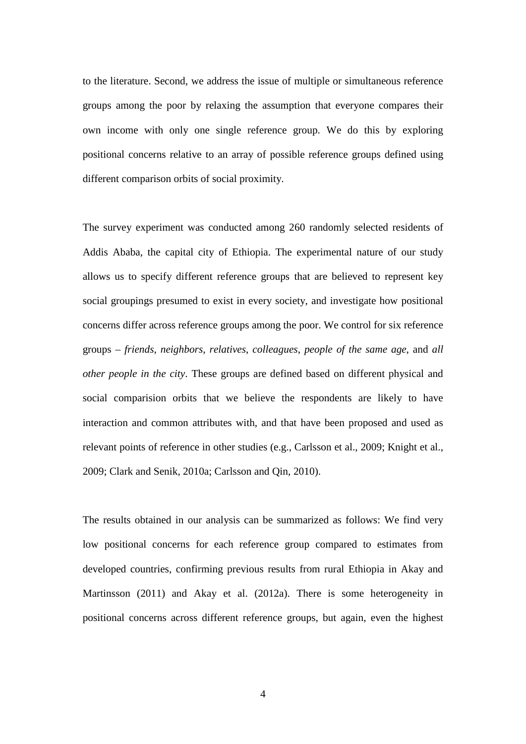to the literature. Second, we address the issue of multiple or simultaneous reference groups among the poor by relaxing the assumption that everyone compares their own income with only one single reference group. We do this by exploring positional concerns relative to an array of possible reference groups defined using different comparison orbits of social proximity.

The survey experiment was conducted among 260 randomly selected residents of Addis Ababa, the capital city of Ethiopia. The experimental nature of our study allows us to specify different reference groups that are believed to represent key social groupings presumed to exist in every society, and investigate how positional concerns differ across reference groups among the poor. We control for six reference groups – *friends*, *neighbors*, *relatives*, *colleagues*, *people of the same age*, and *all other people in the city*. These groups are defined based on different physical and social comparision orbits that we believe the respondents are likely to have interaction and common attributes with, and that have been proposed and used as relevant points of reference in other studies (e.g., Carlsson et al., 2009; Knight et al., 2009; Clark and Senik, 2010a; Carlsson and Qin, 2010).

The results obtained in our analysis can be summarized as follows: We find very low positional concerns for each reference group compared to estimates from developed countries, confirming previous results from rural Ethiopia in Akay and Martinsson (2011) and Akay et al. (2012a). There is some heterogeneity in positional concerns across different reference groups, but again, even the highest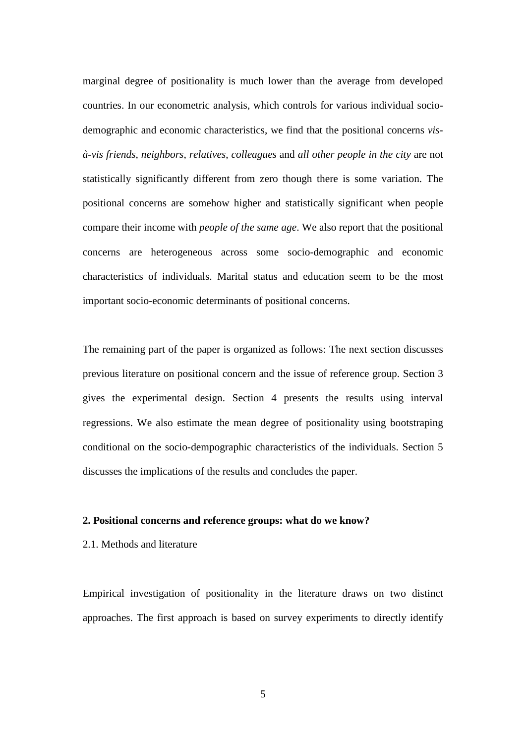marginal degree of positionality is much lower than the average from developed countries. In our econometric analysis, which controls for various individual sociodemographic and economic characteristics, we find that the positional concerns *visà-vis friends*, *neighbors*, *relatives*, *colleagues* and *all other people in the city* are not statistically significantly different from zero though there is some variation. The positional concerns are somehow higher and statistically significant when people compare their income with *people of the same age*. We also report that the positional concerns are heterogeneous across some socio-demographic and economic characteristics of individuals. Marital status and education seem to be the most important socio-economic determinants of positional concerns.

The remaining part of the paper is organized as follows: The next section discusses previous literature on positional concern and the issue of reference group. Section 3 gives the experimental design. Section 4 presents the results using interval regressions. We also estimate the mean degree of positionality using bootstraping conditional on the socio-dempographic characteristics of the individuals. Section 5 discusses the implications of the results and concludes the paper.

#### **2. Positional concerns and reference groups: what do we know?**

#### 2.1. Methods and literature

Empirical investigation of positionality in the literature draws on two distinct approaches. The first approach is based on survey experiments to directly identify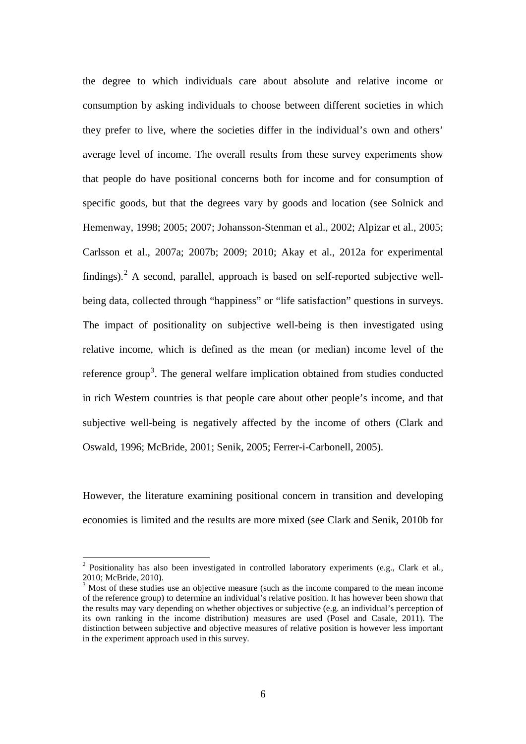the degree to which individuals care about absolute and relative income or consumption by asking individuals to choose between different societies in which they prefer to live, where the societies differ in the individual's own and others' average level of income. The overall results from these survey experiments show that people do have positional concerns both for income and for consumption of specific goods, but that the degrees vary by goods and location (see Solnick and Hemenway, 1998; 2005; 2007; Johansson-Stenman et al., 2002; Alpizar et al., 2005; Carlsson et al., 2007a; 2007b; 2009; 2010; Akay et al., 2012a for experimental findings). $<sup>2</sup>$  $<sup>2</sup>$  $<sup>2</sup>$  A second, parallel, approach is based on self-reported subjective well-</sup> being data, collected through "happiness" or "life satisfaction" questions in surveys. The impact of positionality on subjective well-being is then investigated using relative income, which is defined as the mean (or median) income level of the reference group<sup>[3](#page-8-0)</sup>. The general welfare implication obtained from studies conducted in rich Western countries is that people care about other people's income, and that subjective well-being is negatively affected by the income of others (Clark and Oswald, 1996; McBride, 2001; Senik, 2005; Ferrer-i-Carbonell, 2005).

However, the literature examining positional concern in transition and developing economies is limited and the results are more mixed (see Clark and Senik, 2010b for

<sup>&</sup>lt;sup>2</sup> Positionality has also been investigated in controlled laboratory experiments (e.g., Clark et al., 2010; McBride, 2010).

<span id="page-8-1"></span><span id="page-8-0"></span><sup>&</sup>lt;sup>3</sup> Most of these studies use an objective measure (such as the income compared to the mean income of the reference group) to determine an individual's relative position. It has however been shown that the results may vary depending on whether objectives or subjective (e.g. an individual's perception of its own ranking in the income distribution) measures are used (Posel and Casale, 2011). The distinction between subjective and objective measures of relative position is however less important in the experiment approach used in this survey.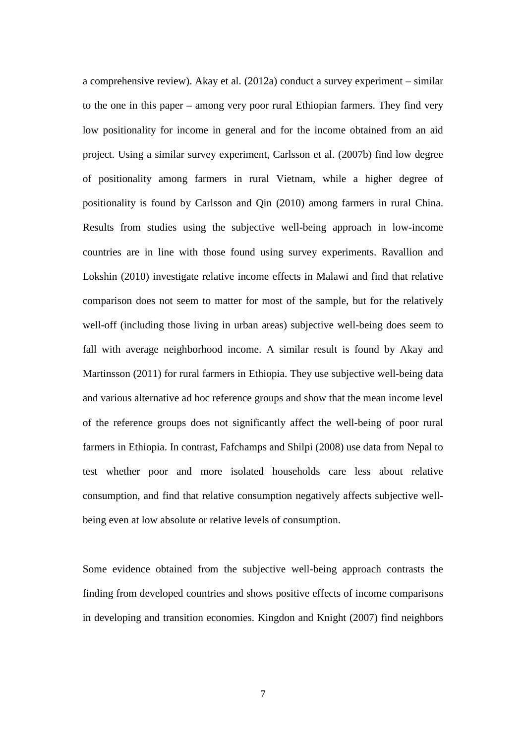a comprehensive review). Akay et al. (2012a) conduct a survey experiment – similar to the one in this paper – among very poor rural Ethiopian farmers. They find very low positionality for income in general and for the income obtained from an aid project. Using a similar survey experiment, Carlsson et al. (2007b) find low degree of positionality among farmers in rural Vietnam, while a higher degree of positionality is found by Carlsson and Qin (2010) among farmers in rural China. Results from studies using the subjective well-being approach in low-income countries are in line with those found using survey experiments. Ravallion and Lokshin (2010) investigate relative income effects in Malawi and find that relative comparison does not seem to matter for most of the sample, but for the relatively well-off (including those living in urban areas) subjective well-being does seem to fall with average neighborhood income. A similar result is found by Akay and Martinsson (2011) for rural farmers in Ethiopia. They use subjective well-being data and various alternative ad hoc reference groups and show that the mean income level of the reference groups does not significantly affect the well-being of poor rural farmers in Ethiopia. In contrast, Fafchamps and Shilpi (2008) use data from Nepal to test whether poor and more isolated households care less about relative consumption, and find that relative consumption negatively affects subjective wellbeing even at low absolute or relative levels of consumption.

Some evidence obtained from the subjective well-being approach contrasts the finding from developed countries and shows positive effects of income comparisons in developing and transition economies. Kingdon and Knight (2007) find neighbors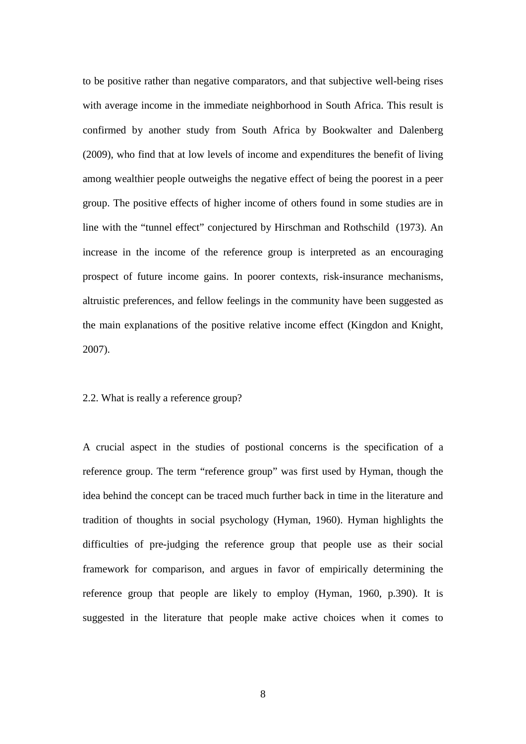to be positive rather than negative comparators, and that subjective well-being rises with average income in the immediate neighborhood in South Africa. This result is confirmed by another study from South Africa by Bookwalter and Dalenberg (2009), who find that at low levels of income and expenditures the benefit of living among wealthier people outweighs the negative effect of being the poorest in a peer group. The positive effects of higher income of others found in some studies are in line with the "tunnel effect" conjectured by Hirschman and Rothschild (1973). An increase in the income of the reference group is interpreted as an encouraging prospect of future income gains. In poorer contexts, risk-insurance mechanisms, altruistic preferences, and fellow feelings in the community have been suggested as the main explanations of the positive relative income effect (Kingdon and Knight, 2007).

#### 2.2. What is really a reference group?

A crucial aspect in the studies of postional concerns is the specification of a reference group. The term "reference group" was first used by Hyman, though the idea behind the concept can be traced much further back in time in the literature and tradition of thoughts in social psychology (Hyman, 1960). Hyman highlights the difficulties of pre-judging the reference group that people use as their social framework for comparison, and argues in favor of empirically determining the reference group that people are likely to employ (Hyman, 1960, p.390). It is suggested in the literature that people make active choices when it comes to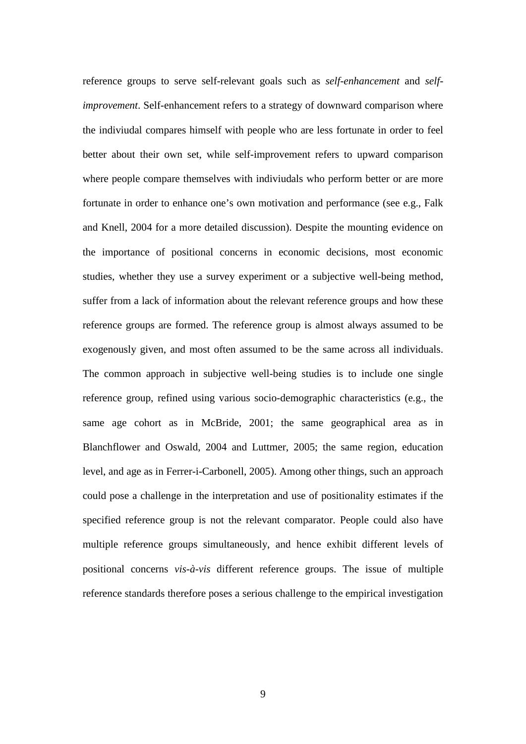reference groups to serve self-relevant goals such as *self-enhancement* and *selfimprovement*. Self-enhancement refers to a strategy of downward comparison where the indiviudal compares himself with people who are less fortunate in order to feel better about their own set, while self-improvement refers to upward comparison where people compare themselves with indiviudals who perform better or are more fortunate in order to enhance one's own motivation and performance (see e.g., Falk and Knell, 2004 for a more detailed discussion). Despite the mounting evidence on the importance of positional concerns in economic decisions, most economic studies, whether they use a survey experiment or a subjective well-being method, suffer from a lack of information about the relevant reference groups and how these reference groups are formed. The reference group is almost always assumed to be exogenously given, and most often assumed to be the same across all individuals. The common approach in subjective well-being studies is to include one single reference group, refined using various socio-demographic characteristics (e.g., the same age cohort as in McBride, 2001; the same geographical area as in Blanchflower and Oswald, 2004 and Luttmer, 2005; the same region, education level, and age as in Ferrer-i-Carbonell, 2005). Among other things, such an approach could pose a challenge in the interpretation and use of positionality estimates if the specified reference group is not the relevant comparator. People could also have multiple reference groups simultaneously, and hence exhibit different levels of positional concerns *vis-à-vis* different reference groups. The issue of multiple reference standards therefore poses a serious challenge to the empirical investigation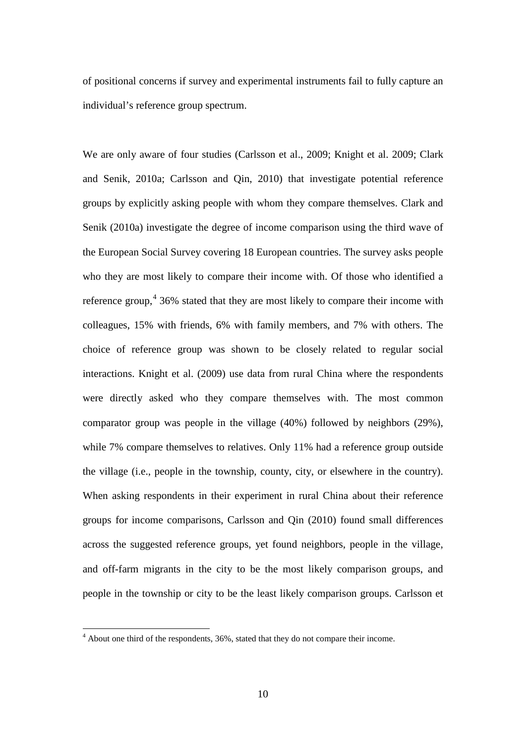of positional concerns if survey and experimental instruments fail to fully capture an individual's reference group spectrum.

We are only aware of four studies (Carlsson et al., 2009; Knight et al. 2009; Clark and Senik, 2010a; Carlsson and Qin, 2010) that investigate potential reference groups by explicitly asking people with whom they compare themselves. Clark and Senik (2010a) investigate the degree of income comparison using the third wave of the European Social Survey covering 18 European countries. The survey asks people who they are most likely to compare their income with. Of those who identified a reference group, $4\,36\%$  $4\,36\%$  stated that they are most likely to compare their income with colleagues, 15% with friends, 6% with family members, and 7% with others. The choice of reference group was shown to be closely related to regular social interactions. Knight et al. (2009) use data from rural China where the respondents were directly asked who they compare themselves with. The most common comparator group was people in the village (40%) followed by neighbors (29%), while 7% compare themselves to relatives. Only 11% had a reference group outside the village (i.e., people in the township, county, city, or elsewhere in the country). When asking respondents in their experiment in rural China about their reference groups for income comparisons, Carlsson and Qin (2010) found small differences across the suggested reference groups, yet found neighbors, people in the village, and off-farm migrants in the city to be the most likely comparison groups, and people in the township or city to be the least likely comparison groups. Carlsson et

<span id="page-12-0"></span><sup>&</sup>lt;sup>4</sup> About one third of the respondents, 36%, stated that they do not compare their income.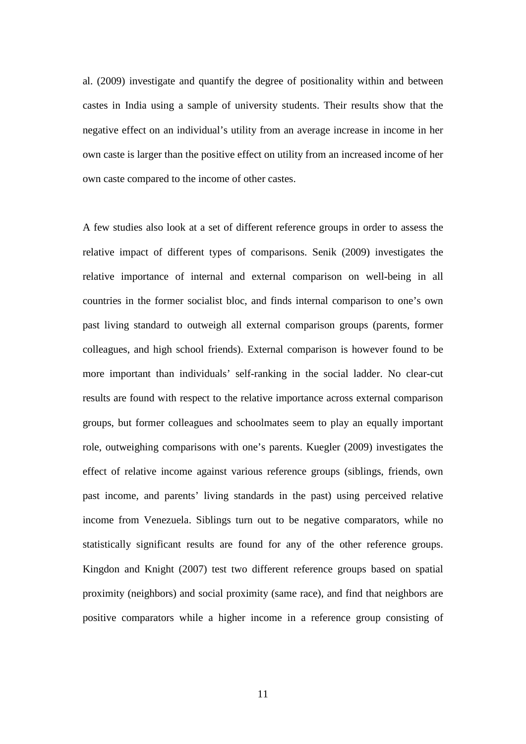al. (2009) investigate and quantify the degree of positionality within and between castes in India using a sample of university students. Their results show that the negative effect on an individual's utility from an average increase in income in her own caste is larger than the positive effect on utility from an increased income of her own caste compared to the income of other castes.

A few studies also look at a set of different reference groups in order to assess the relative impact of different types of comparisons. Senik (2009) investigates the relative importance of internal and external comparison on well-being in all countries in the former socialist bloc, and finds internal comparison to one's own past living standard to outweigh all external comparison groups (parents, former colleagues, and high school friends). External comparison is however found to be more important than individuals' self-ranking in the social ladder. No clear-cut results are found with respect to the relative importance across external comparison groups, but former colleagues and schoolmates seem to play an equally important role, outweighing comparisons with one's parents. Kuegler (2009) investigates the effect of relative income against various reference groups (siblings, friends, own past income, and parents' living standards in the past) using perceived relative income from Venezuela. Siblings turn out to be negative comparators, while no statistically significant results are found for any of the other reference groups. Kingdon and Knight (2007) test two different reference groups based on spatial proximity (neighbors) and social proximity (same race), and find that neighbors are positive comparators while a higher income in a reference group consisting of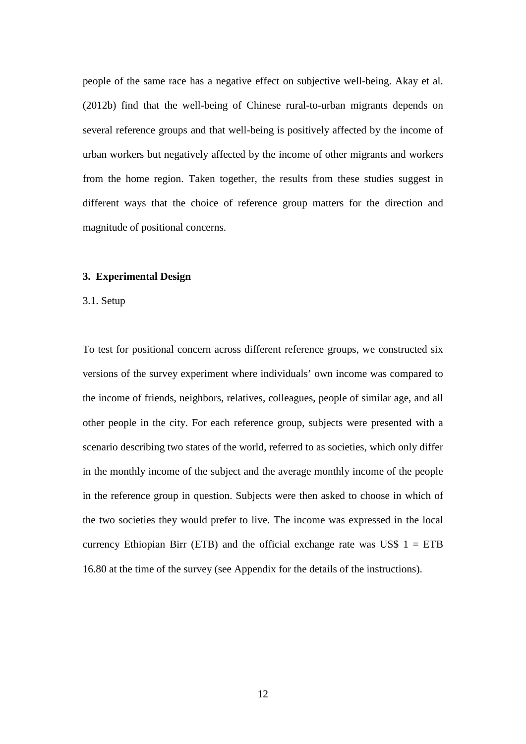people of the same race has a negative effect on subjective well-being. Akay et al. (2012b) find that the well-being of Chinese rural-to-urban migrants depends on several reference groups and that well-being is positively affected by the income of urban workers but negatively affected by the income of other migrants and workers from the home region. Taken together, the results from these studies suggest in different ways that the choice of reference group matters for the direction and magnitude of positional concerns.

#### **3. Experimental Design**

#### 3.1. Setup

To test for positional concern across different reference groups, we constructed six versions of the survey experiment where individuals' own income was compared to the income of friends, neighbors, relatives, colleagues, people of similar age, and all other people in the city. For each reference group, subjects were presented with a scenario describing two states of the world, referred to as societies, which only differ in the monthly income of the subject and the average monthly income of the people in the reference group in question. Subjects were then asked to choose in which of the two societies they would prefer to live. The income was expressed in the local currency Ethiopian Birr (ETB) and the official exchange rate was US\$  $1 = ETB$ 16.80 at the time of the survey (see Appendix for the details of the instructions).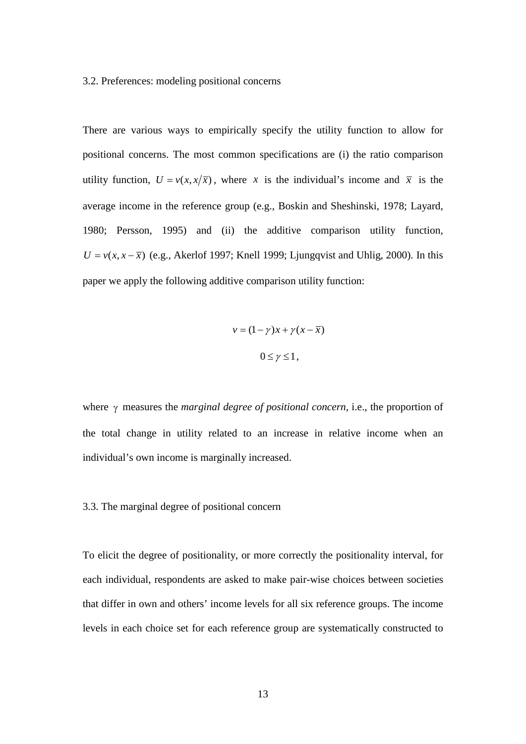#### 3.2. Preferences: modeling positional concerns

There are various ways to empirically specify the utility function to allow for positional concerns. The most common specifications are (i) the ratio comparison utility function,  $U = v(x, x/\overline{x})$ , where *x* is the individual's income and  $\overline{x}$  is the average income in the reference group (e.g., Boskin and Sheshinski, 1978; Layard, 1980; Persson, 1995) and (ii) the additive comparison utility function,  $U = v(x, x - \overline{x})$  (e.g., Akerlof 1997; Knell 1999; Ljungqvist and Uhlig, 2000). In this paper we apply the following additive comparison utility function:

$$
v = (1 - \gamma)x + \gamma(x - \overline{x})
$$

$$
0 \le \gamma \le 1,
$$

where γ measures the *marginal degree of positional concern*, i.e., the proportion of the total change in utility related to an increase in relative income when an individual's own income is marginally increased.

#### 3.3. The marginal degree of positional concern

To elicit the degree of positionality, or more correctly the positionality interval, for each individual, respondents are asked to make pair-wise choices between societies that differ in own and others' income levels for all six reference groups. The income levels in each choice set for each reference group are systematically constructed to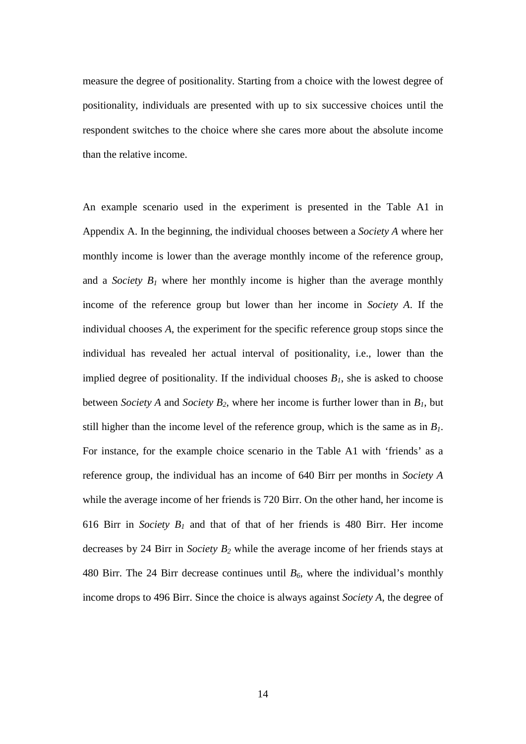measure the degree of positionality. Starting from a choice with the lowest degree of positionality, individuals are presented with up to six successive choices until the respondent switches to the choice where she cares more about the absolute income than the relative income.

An example scenario used in the experiment is presented in the Table A1 in Appendix A. In the beginning, the individual chooses between a *Society A* where her monthly income is lower than the average monthly income of the reference group, and a *Society*  $B_1$  where her monthly income is higher than the average monthly income of the reference group but lower than her income in *Society A*. If the individual chooses *A*, the experiment for the specific reference group stops since the individual has revealed her actual interval of positionality, i.e., lower than the implied degree of positionality. If the individual chooses  $B<sub>1</sub>$ , she is asked to choose between *Society A* and *Society B<sub>2</sub>*, where her income is further lower than in  $B<sub>1</sub>$ , but still higher than the income level of the reference group, which is the same as in  $B<sub>1</sub>$ . For instance, for the example choice scenario in the Table A1 with 'friends' as a reference group, the individual has an income of 640 Birr per months in *Society A* while the average income of her friends is 720 Birr. On the other hand, her income is 616 Birr in *Society*  $B_1$  and that of that of her friends is 480 Birr. Her income decreases by 24 Birr in *Society B2* while the average income of her friends stays at 480 Birr. The 24 Birr decrease continues until  $B_6$ , where the individual's monthly income drops to 496 Birr. Since the choice is always against *Society A*, the degree of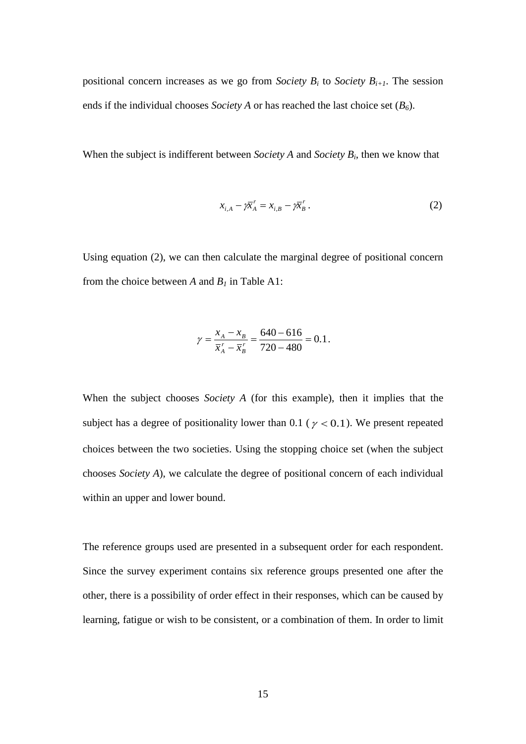positional concern increases as we go from *Society B<sub>i</sub>* to *Society B<sub>i+1</sub>*. The session ends if the individual chooses *Society A* or has reached the last choice set  $(B_6)$ .

When the subject is indifferent between *Society A* and *Society Bi*, then we know that

$$
x_{i,A} - \bar{p} \overline{x}_A^r = x_{i,B} - \bar{p} \overline{x}_B^r. \tag{2}
$$

Using equation (2), we can then calculate the marginal degree of positional concern from the choice between *A* and  $B<sub>1</sub>$  in Table A1:

$$
\gamma = \frac{x_A - x_B}{\overline{x}_A^r - \overline{x}_B^r} = \frac{640 - 616}{720 - 480} = 0.1.
$$

When the subject chooses *Society A* (for this example), then it implies that the subject has a degree of positionality lower than 0.1 ( $\gamma$  < 0.1). We present repeated choices between the two societies. Using the stopping choice set (when the subject chooses *Society A*), we calculate the degree of positional concern of each individual within an upper and lower bound.

The reference groups used are presented in a subsequent order for each respondent. Since the survey experiment contains six reference groups presented one after the other, there is a possibility of order effect in their responses, which can be caused by learning, fatigue or wish to be consistent, or a combination of them. In order to limit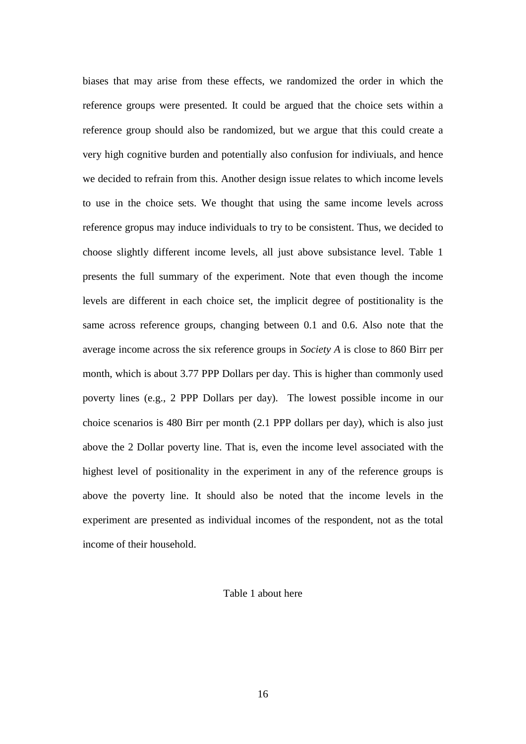biases that may arise from these effects, we randomized the order in which the reference groups were presented. It could be argued that the choice sets within a reference group should also be randomized, but we argue that this could create a very high cognitive burden and potentially also confusion for indiviuals, and hence we decided to refrain from this. Another design issue relates to which income levels to use in the choice sets. We thought that using the same income levels across reference gropus may induce individuals to try to be consistent. Thus, we decided to choose slightly different income levels, all just above subsistance level. Table 1 presents the full summary of the experiment. Note that even though the income levels are different in each choice set, the implicit degree of postitionality is the same across reference groups, changing between 0.1 and 0.6. Also note that the average income across the six reference groups in *Society A* is close to 860 Birr per month, which is about 3.77 PPP Dollars per day. This is higher than commonly used poverty lines (e.g., 2 PPP Dollars per day). The lowest possible income in our choice scenarios is 480 Birr per month (2.1 PPP dollars per day), which is also just above the 2 Dollar poverty line. That is, even the income level associated with the highest level of positionality in the experiment in any of the reference groups is above the poverty line. It should also be noted that the income levels in the experiment are presented as individual incomes of the respondent, not as the total income of their household.

#### Table 1 about here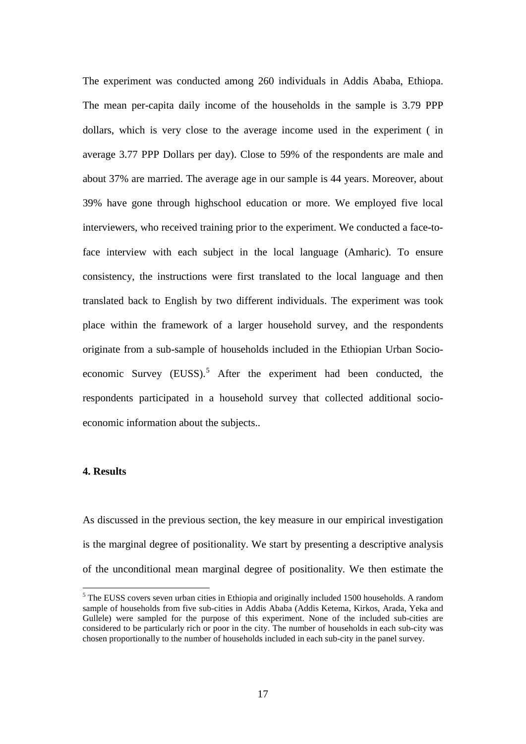The experiment was conducted among 260 individuals in Addis Ababa, Ethiopa. The mean per-capita daily income of the households in the sample is 3.79 PPP dollars, which is very close to the average income used in the experiment ( in average 3.77 PPP Dollars per day). Close to 59% of the respondents are male and about 37% are married. The average age in our sample is 44 years. Moreover, about 39% have gone through highschool education or more. We employed five local interviewers, who received training prior to the experiment. We conducted a face-toface interview with each subject in the local language (Amharic). To ensure consistency, the instructions were first translated to the local language and then translated back to English by two different individuals. The experiment was took place within the framework of a larger household survey, and the respondents originate from a sub-sample of households included in the Ethiopian Urban Socio-economic Survey (EUSS).<sup>[5](#page-12-0)</sup> After the experiment had been conducted, the respondents participated in a household survey that collected additional socioeconomic information about the subjects..

#### **4. Results**

As discussed in the previous section, the key measure in our empirical investigation is the marginal degree of positionality. We start by presenting a descriptive analysis of the unconditional mean marginal degree of positionality. We then estimate the

<span id="page-19-0"></span> $<sup>5</sup>$  The EUSS covers seven urban cities in Ethiopia and originally included 1500 households. A random</sup> sample of households from five sub-cities in Addis Ababa (Addis Ketema, Kirkos, Arada, Yeka and Gullele) were sampled for the purpose of this experiment. None of the included sub-cities are considered to be particularly rich or poor in the city. The number of households in each sub-city was chosen proportionally to the number of households included in each sub-city in the panel survey.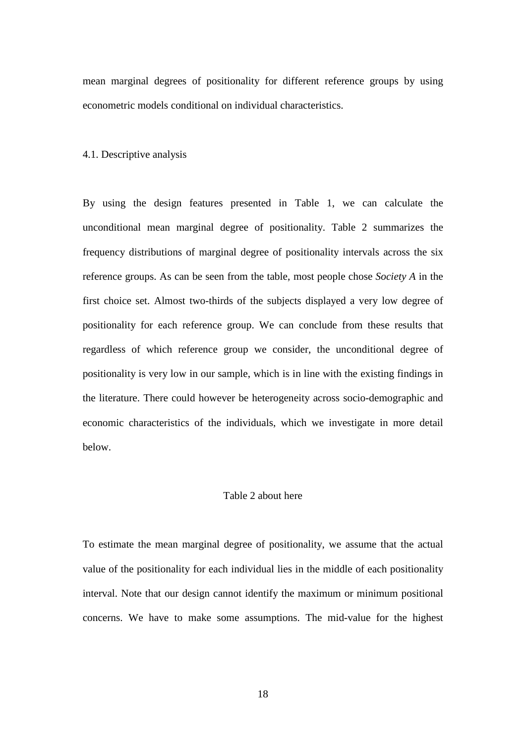mean marginal degrees of positionality for different reference groups by using econometric models conditional on individual characteristics.

4.1. Descriptive analysis

By using the design features presented in Table 1, we can calculate the unconditional mean marginal degree of positionality. Table 2 summarizes the frequency distributions of marginal degree of positionality intervals across the six reference groups. As can be seen from the table, most people chose *Society A* in the first choice set. Almost two-thirds of the subjects displayed a very low degree of positionality for each reference group. We can conclude from these results that regardless of which reference group we consider, the unconditional degree of positionality is very low in our sample, which is in line with the existing findings in the literature. There could however be heterogeneity across socio-demographic and economic characteristics of the individuals, which we investigate in more detail below.

#### Table 2 about here

To estimate the mean marginal degree of positionality, we assume that the actual value of the positionality for each individual lies in the middle of each positionality interval. Note that our design cannot identify the maximum or minimum positional concerns. We have to make some assumptions. The mid-value for the highest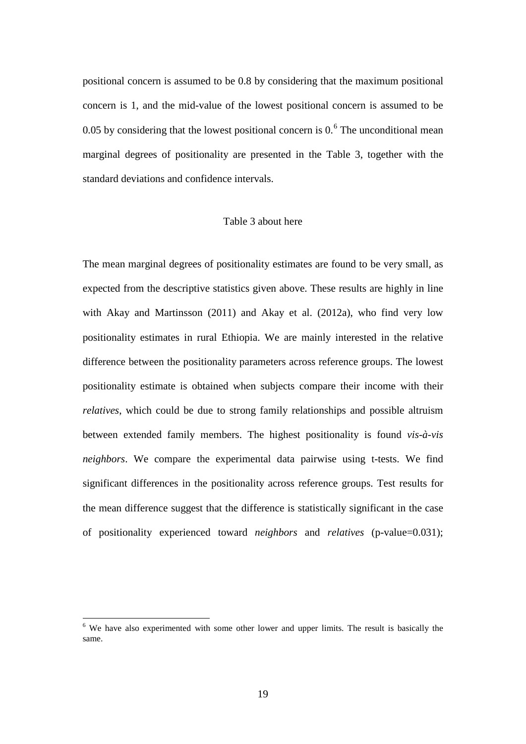positional concern is assumed to be 0.8 by considering that the maximum positional concern is 1, and the mid-value of the lowest positional concern is assumed to be 0.05 by considering that the lowest positional concern is  $0.6\text{ T}$  $0.6\text{ T}$  $0.6\text{ T}$  The unconditional mean marginal degrees of positionality are presented in the Table 3, together with the standard deviations and confidence intervals.

#### Table 3 about here

The mean marginal degrees of positionality estimates are found to be very small, as expected from the descriptive statistics given above. These results are highly in line with Akay and Martinsson (2011) and Akay et al. (2012a), who find very low positionality estimates in rural Ethiopia. We are mainly interested in the relative difference between the positionality parameters across reference groups. The lowest positionality estimate is obtained when subjects compare their income with their *relatives*, which could be due to strong family relationships and possible altruism between extended family members. The highest positionality is found *vis-à-vis neighbors*. We compare the experimental data pairwise using t-tests. We find significant differences in the positionality across reference groups. Test results for the mean difference suggest that the difference is statistically significant in the case of positionality experienced toward *neighbors* and *relatives* (p-value=0.031);

<span id="page-21-0"></span> $6\,$  We have also experimented with some other lower and upper limits. The result is basically the same.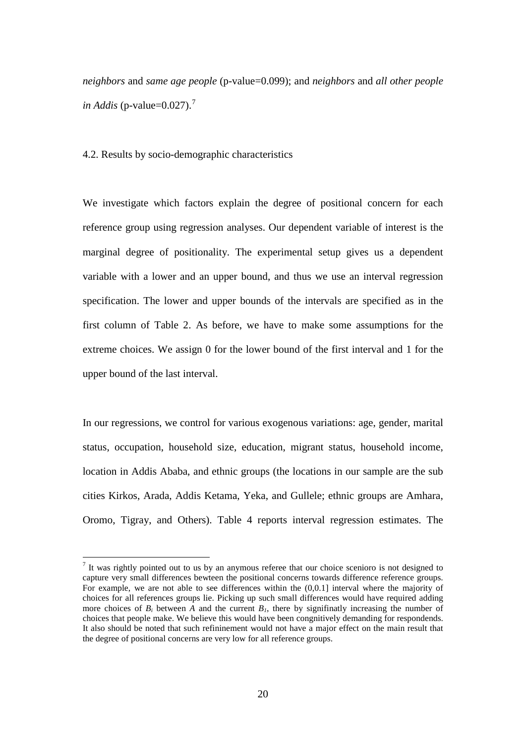*neighbors* and *same age people* (p-value=0.099); and *neighbors* and *all other people in Addis* (p-value= $0.027$  $0.027$ ).<sup>7</sup>

4.2. Results by socio-demographic characteristics

We investigate which factors explain the degree of positional concern for each reference group using regression analyses. Our dependent variable of interest is the marginal degree of positionality. The experimental setup gives us a dependent variable with a lower and an upper bound, and thus we use an interval regression specification. The lower and upper bounds of the intervals are specified as in the first column of Table 2. As before, we have to make some assumptions for the extreme choices. We assign 0 for the lower bound of the first interval and 1 for the upper bound of the last interval.

In our regressions, we control for various exogenous variations: age, gender, marital status, occupation, household size, education, migrant status, household income, location in Addis Ababa, and ethnic groups (the locations in our sample are the sub cities Kirkos, Arada, Addis Ketama, Yeka, and Gullele; ethnic groups are Amhara, Oromo, Tigray, and Others). Table 4 reports interval regression estimates. The

<span id="page-22-0"></span> $<sup>7</sup>$  It was rightly pointed out to us by an anymous referee that our choice scenioro is not designed to</sup> capture very small differences bewteen the positional concerns towards difference reference groups. For example, we are not able to see differences within the (0,0.1] interval where the majority of choices for all references groups lie. Picking up such small differences would have required adding more choices of  $B_i$  between  $\overline{A}$  and the current  $B_i$ , there by signifinatly increasing the number of choices that people make. We believe this would have been congnitively demanding for respondends. It also should be noted that such refininement would not have a major effect on the main result that the degree of positional concerns are very low for all reference groups.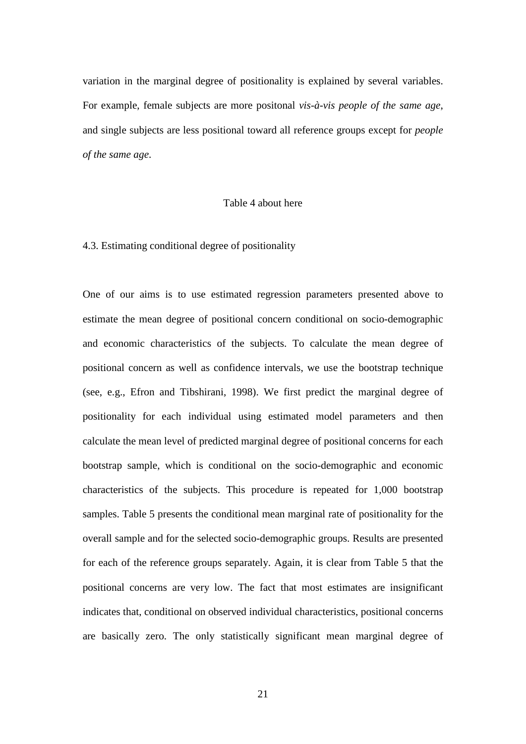variation in the marginal degree of positionality is explained by several variables. For example, female subjects are more positonal *[vis-à-vis](http://en.wiktionary.org/wiki/vis-%C3%A0-vis#French) people of the same age*, and single subjects are less positional toward all reference groups except for *people of the same age*.

#### Table 4 about here

#### 4.3. Estimating conditional degree of positionality

One of our aims is to use estimated regression parameters presented above to estimate the mean degree of positional concern conditional on socio-demographic and economic characteristics of the subjects. To calculate the mean degree of positional concern as well as confidence intervals, we use the bootstrap technique (see, e.g., Efron and Tibshirani, 1998). We first predict the marginal degree of positionality for each individual using estimated model parameters and then calculate the mean level of predicted marginal degree of positional concerns for each bootstrap sample, which is conditional on the socio-demographic and economic characteristics of the subjects. This procedure is repeated for 1,000 bootstrap samples. Table 5 presents the conditional mean marginal rate of positionality for the overall sample and for the selected socio-demographic groups. Results are presented for each of the reference groups separately. Again, it is clear from Table 5 that the positional concerns are very low. The fact that most estimates are insignificant indicates that, conditional on observed individual characteristics, positional concerns are basically zero. The only statistically significant mean marginal degree of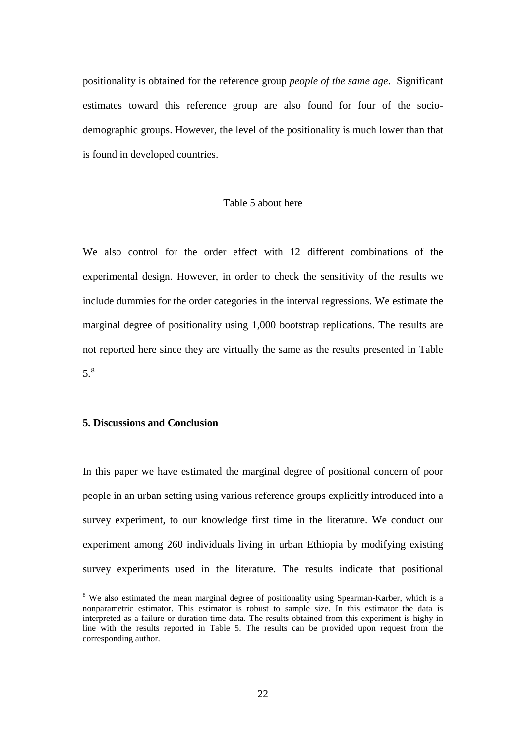positionality is obtained for the reference group *people of the same age*. Significant estimates toward this reference group are also found for four of the sociodemographic groups. However, the level of the positionality is much lower than that is found in developed countries.

#### Table 5 about here

We also control for the order effect with 12 different combinations of the experimental design. However, in order to check the sensitivity of the results we include dummies for the order categories in the interval regressions. We estimate the marginal degree of positionality using 1,000 bootstrap replications. The results are not reported here since they are virtually the same as the results presented in Table 5. [8](#page-22-0)

#### **5. Discussions and Conclusion**

In this paper we have estimated the marginal degree of positional concern of poor people in an urban setting using various reference groups explicitly introduced into a survey experiment, to our knowledge first time in the literature. We conduct our experiment among 260 individuals living in urban Ethiopia by modifying existing survey experiments used in the literature. The results indicate that positional

<span id="page-24-0"></span><sup>&</sup>lt;sup>8</sup> We also estimated the mean marginal degree of positionality using Spearman-Karber, which is a nonparametric estimator. This estimator is robust to sample size. In this estimator the data is interpreted as a failure or duration time data. The results obtained from this experiment is highy in line with the results reported in Table 5. The results can be provided upon request from the corresponding author.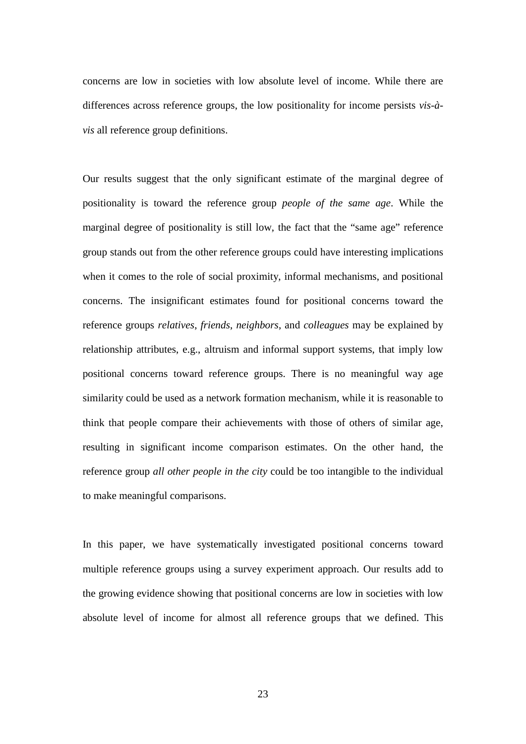concerns are low in societies with low absolute level of income. While there are differences across reference groups, the low positionality for income persists *vis-àvis* all reference group definitions.

Our results suggest that the only significant estimate of the marginal degree of positionality is toward the reference group *people of the same age*. While the marginal degree of positionality is still low, the fact that the "same age" reference group stands out from the other reference groups could have interesting implications when it comes to the role of social proximity, informal mechanisms, and positional concerns. The insignificant estimates found for positional concerns toward the reference groups *relatives*, *friends*, *neighbors*, and *colleagues* may be explained by relationship attributes, e.g., altruism and informal support systems, that imply low positional concerns toward reference groups. There is no meaningful way age similarity could be used as a network formation mechanism, while it is reasonable to think that people compare their achievements with those of others of similar age, resulting in significant income comparison estimates. On the other hand, the reference group *all other people in the city* could be too intangible to the individual to make meaningful comparisons.

In this paper, we have systematically investigated positional concerns toward multiple reference groups using a survey experiment approach. Our results add to the growing evidence showing that positional concerns are low in societies with low absolute level of income for almost all reference groups that we defined. This

23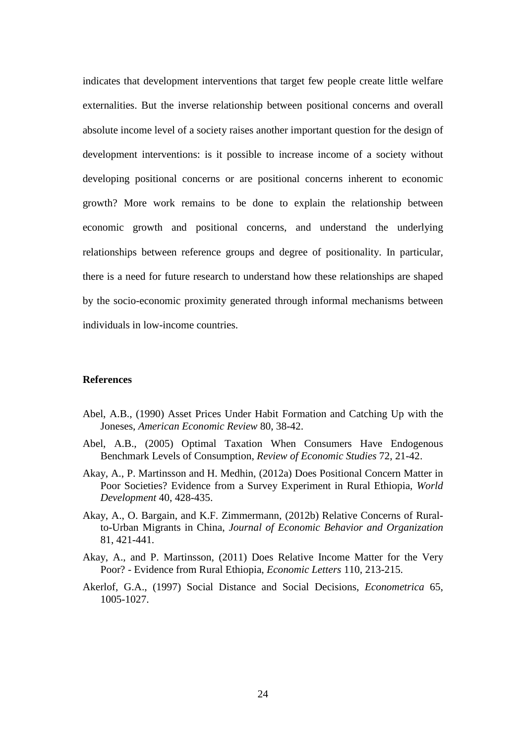indicates that development interventions that target few people create little welfare externalities. But the inverse relationship between positional concerns and overall absolute income level of a society raises another important question for the design of development interventions: is it possible to increase income of a society without developing positional concerns or are positional concerns inherent to economic growth? More work remains to be done to explain the relationship between economic growth and positional concerns, and understand the underlying relationships between reference groups and degree of positionality. In particular, there is a need for future research to understand how these relationships are shaped by the socio-economic proximity generated through informal mechanisms between individuals in low-income countries.

#### **References**

- Abel, A.B., (1990) Asset Prices Under Habit Formation and Catching Up with the Joneses, *American Economic Review* 80, 38-42.
- Abel, A.B., (2005) Optimal Taxation When Consumers Have Endogenous Benchmark Levels of Consumption, *Review of Economic Studies* 72, 21-42.
- Akay, A., P. Martinsson and H. Medhin, (2012a) Does Positional Concern Matter in Poor Societies? Evidence from a Survey Experiment in Rural Ethiopia, *World Development* 40, 428-435.
- Akay, A., O. Bargain, and K.F. Zimmermann, (2012b) Relative Concerns of Ruralto-Urban Migrants in China, *Journal of Economic Behavior and Organization*  81, 421-441.
- Akay, A., and P. Martinsson, (2011) Does Relative Income Matter for the Very Poor? - Evidence from Rural Ethiopia, *Economic Letters* 110, 213-215.
- Akerlof, G.A., (1997) Social Distance and Social Decisions, *Econometrica* 65, 1005-1027.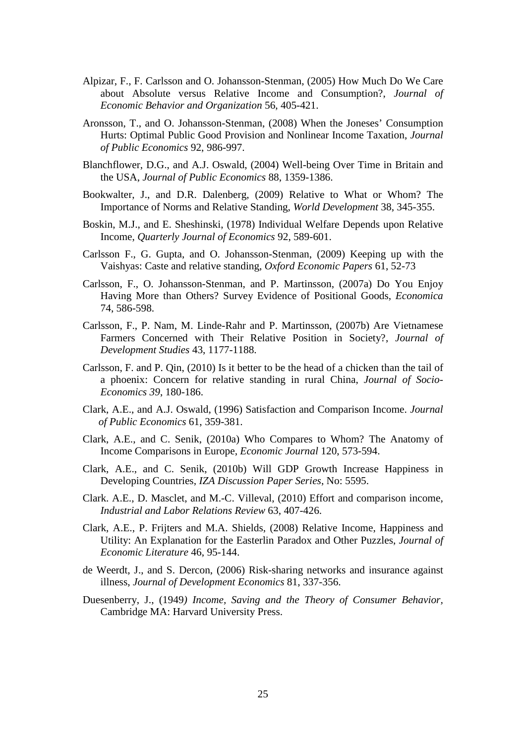- Alpizar, F., F. Carlsson and O. Johansson-Stenman, (2005) How Much Do We Care about Absolute versus Relative Income and Consumption?, *Journal of Economic Behavior and Organization* 56, 405-421.
- Aronsson, T., and O. Johansson-Stenman, (2008) When the Joneses' Consumption Hurts: Optimal Public Good Provision and Nonlinear Income Taxation, *Journal of Public Economics* 92, 986-997.
- Blanchflower, D.G., and A.J. Oswald, (2004) Well-being Over Time in Britain and the USA, *Journal of Public Economics* 88, 1359-1386.
- Bookwalter, J., and D.R. Dalenberg, (2009) Relative to What or Whom? The Importance of Norms and Relative Standing, *World Development* 38, 345-355.
- Boskin, M.J., and E. Sheshinski, (1978) Individual Welfare Depends upon Relative Income, *Quarterly Journal of Economics* 92, 589-601.
- Carlsson F., G. Gupta, and O. Johansson-Stenman, (2009) Keeping up with the Vaishyas: Caste and relative standing, *Oxford Economic Papers* 61, 52-73
- Carlsson, F., O. Johansson-Stenman, and P. Martinsson, (2007a) Do You Enjoy Having More than Others? Survey Evidence of Positional Goods, *Economica* 74, 586-598.
- Carlsson, F., P. Nam, M. Linde-Rahr and P. Martinsson, (2007b) Are Vietnamese Farmers Concerned with Their Relative Position in Society?, *Journal of Development Studies* 43, 1177-1188.
- Carlsson, F. and P. Qin, (2010) Is it better to be the head of a chicken than the tail of a phoenix: Concern for relative standing in rural China, *Journal of Socio-Economics 39*, 180-186.
- Clark, A.E., and A.J. Oswald, (1996) Satisfaction and Comparison Income. *Journal of Public Economics* 61, 359-381.
- Clark, A.E., and C. Senik, (2010a) Who Compares to Whom? The Anatomy of Income Comparisons in Europe, *Economic Journal* 120, 573-594.
- Clark, A.E., and C. Senik, (2010b) Will GDP Growth Increase Happiness in Developing Countries, *IZA Discussion Paper Series*, No: 5595.
- Clark. A.E., D. Masclet, and M.-C. Villeval, (2010) Effort and comparison income, *Industrial and Labor Relations Review* 63, 407-426.
- Clark, A.E., P. Frijters and M.A. Shields, (2008) Relative Income, Happiness and Utility: An Explanation for the Easterlin Paradox and Other Puzzles, *Journal of Economic Literature* 46, 95-144.
- de Weerdt, J., and S. Dercon, (2006) Risk-sharing networks and insurance against illness, *Journal of Development Economics* 81, 337-356.
- Duesenberry, J., (1949*) Income, Saving and the Theory of Consumer Behavior,* Cambridge MA: Harvard University Press.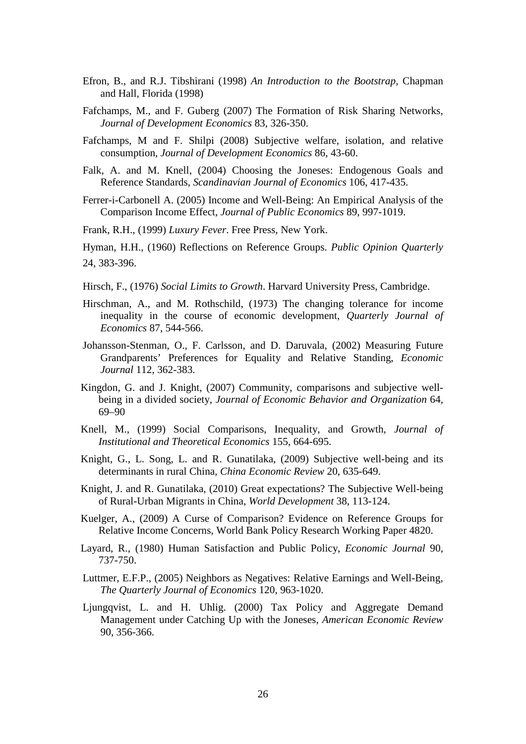- Efron, B., and R.J. Tibshirani (1998) *An Introduction to the Bootstrap*, Chapman and Hall, Florida (1998)
- Fafchamps, M., and F. Guberg (2007) The Formation of Risk Sharing Networks, *Journal of Development Economics* 83, 326-350.
- Fafchamps, M and F. Shilpi (2008) Subjective welfare, isolation, and relative consumption, *Journal of Development Economics* 86, 43-60.
- Falk, A. and M. Knell, (2004) Choosing the Joneses: Endogenous Goals and Reference Standards, *Scandinavian Journal of Economics* 106, 417-435.
- Ferrer-i-Carbonell A. (2005) Income and Well-Being: An Empirical Analysis of the Comparison Income Effect, *Journal of Public Economics* 89, 997-1019.
- Frank, R.H., (1999) *Luxury Fever*. Free Press, New York.
- Hyman, H.H., (1960) Reflections on Reference Groups. *Public Opinion Quarterly* 24, 383-396.
- Hirsch, F., (1976) *Social Limits to Growth*. Harvard University Press, Cambridge.
- Hirschman, A., and M. Rothschild, (1973) The changing tolerance for income inequality in the course of economic development, *Quarterly Journal of Economics* 87, 544-566.
- Johansson-Stenman, O., F. Carlsson, and D. Daruvala, (2002) Measuring Future Grandparents' Preferences for Equality and Relative Standing, *Economic Journal* 112, 362-383.
- Kingdon, G. and J. Knight, (2007) Community, comparisons and subjective wellbeing in a divided society, *Journal of Economic Behavior and Organization* 64, 69–90
- Knell, M., (1999) Social Comparisons, Inequality, and Growth, *Journal of Institutional and Theoretical Economics* 155, 664-695.
- Knight, G., L. Song, L. and R. Gunatilaka, (2009) Subjective well-being and its determinants in rural China, *China Economic Review* 20, 635-649.
- Knight, J. and R. Gunatilaka, (2010) Great expectations? The Subjective Well-being of Rural-Urban Migrants in China, *World Development* 38, 113-124.
- Kuelger, A., (2009) A Curse of Comparison? Evidence on Reference Groups for Relative Income Concerns, World Bank Policy Research Working Paper 4820.
- Layard, R., (1980) Human Satisfaction and Public Policy, *Economic Journal* 90, 737-750.
- Luttmer, E.F.P., (2005) Neighbors as Negatives: Relative Earnings and Well-Being, *The Quarterly Journal of Economics* 120, 963-1020.
- Ljungqvist, L. and H. Uhlig. (2000) Tax Policy and Aggregate Demand Management under Catching Up with the Joneses, *American Economic Review* 90, 356-366.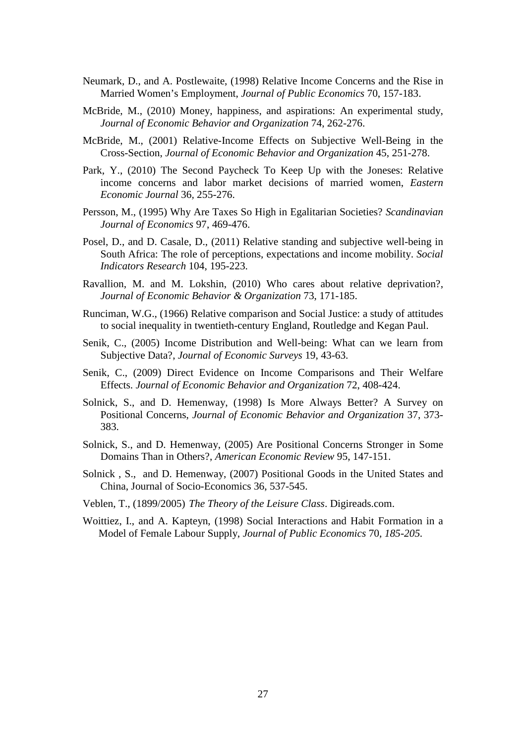- Neumark, D., and A. Postlewaite, (1998) Relative Income Concerns and the Rise in Married Women's Employment, *Journal of Public Economics* 70, 157-183.
- McBride, M., (2010) Money, happiness, and aspirations: An experimental study, *Journal of Economic Behavior and Organization* 74, 262-276.
- McBride, M., (2001) Relative-Income Effects on Subjective Well-Being in the Cross-Section, *Journal of Economic Behavior and Organization* 45, 251-278.
- Park, Y., (2010) The Second Paycheck To Keep Up with the Joneses: Relative income concerns and labor market decisions of married women, *Eastern Economic Journal* 36*,* 255-276.
- Persson, M., (1995) Why Are Taxes So High in Egalitarian Societies? *Scandinavian Journal of Economics* 97, 469-476.
- Posel, D., and D. Casale, D., (2011) Relative standing and subjective well-being in South Africa: The role of perceptions, expectations and income mobility. *Social Indicators Research* 104, 195-223.
- Ravallion, M. and M. Lokshin, (2010) Who cares about relative deprivation?, *Journal of Economic Behavior & Organization* 73, 171-185.
- Runciman, W.G., (1966) Relative comparison and Social Justice: a study of attitudes to social inequality in twentieth-century England, Routledge and Kegan Paul.
- Senik, C., (2005) Income Distribution and Well-being: What can we learn from Subjective Data?, *Journal of Economic Surveys* 19, 43-63.
- Senik, C., (2009) Direct Evidence on Income Comparisons and Their Welfare Effects. *Journal of Economic Behavior and Organization* 72, 408-424.
- Solnick, S., and D. Hemenway, (1998) Is More Always Better? A Survey on Positional Concerns, *Journal of Economic Behavior and Organization* 37, 373- 383.
- Solnick, S., and D. Hemenway, (2005) Are Positional Concerns Stronger in Some Domains Than in Others?, *American Economic Review* 95, 147-151.
- Solnick , S., and D. Hemenway, (2007) Positional Goods in the United States and China, Journal of Socio-Economics 36, 537-545.
- Veblen, T., (1899/2005) *The Theory of the Leisure Class*. Digireads.com.
- Woittiez, I., and A. Kapteyn, (1998) Social Interactions and Habit Formation in a Model of Female Labour Supply, *Journal of Public Economics* 70*, 185-205.*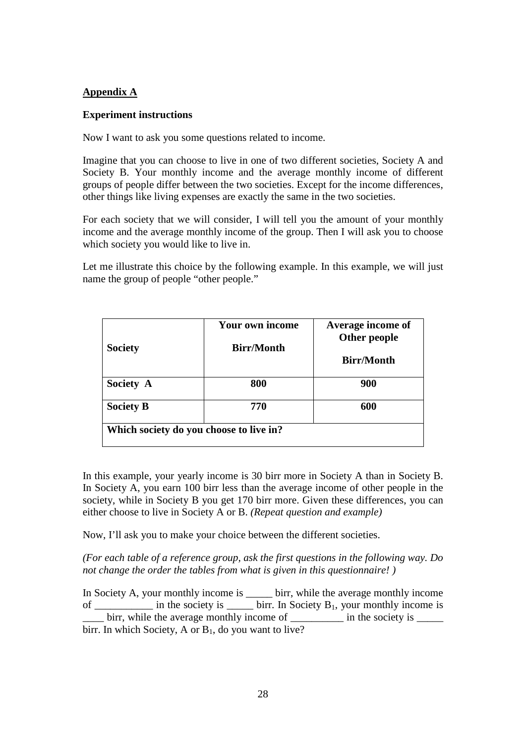### **Appendix A**

#### **Experiment instructions**

Now I want to ask you some questions related to income.

Imagine that you can choose to live in one of two different societies, Society A and Society B. Your monthly income and the average monthly income of different groups of people differ between the two societies. Except for the income differences, other things like living expenses are exactly the same in the two societies.

For each society that we will consider, I will tell you the amount of your monthly income and the average monthly income of the group. Then I will ask you to choose which society you would like to live in.

Let me illustrate this choice by the following example. In this example, we will just name the group of people "other people."

| <b>Society</b>                          | <b>Your own income</b><br><b>Birr/Month</b> | Average income of<br>Other people |
|-----------------------------------------|---------------------------------------------|-----------------------------------|
|                                         |                                             | <b>Birr/Month</b>                 |
| Society A                               | 800                                         | 900                               |
| <b>Society B</b>                        | 770                                         | 600                               |
| Which society do you choose to live in? |                                             |                                   |

In this example, your yearly income is 30 birr more in Society A than in Society B. In Society A, you earn 100 birr less than the average income of other people in the society, while in Society B you get 170 birr more. Given these differences, you can either choose to live in Society A or B. *(Repeat question and example)*

Now, I'll ask you to make your choice between the different societies.

*(For each table of a reference group, ask the first questions in the following way. Do not change the order the tables from what is given in this questionnaire! )* 

In Society A, your monthly income is \_\_\_\_\_\_ birr, while the average monthly income of \_\_\_\_\_\_\_\_\_\_ in the society is \_\_\_\_\_\_ birr. In Society  $B_1$ , your monthly income is birr, while the average monthly income of  $\qquad$  in the society is birr. In which Society, A or  $B_1$ , do you want to live?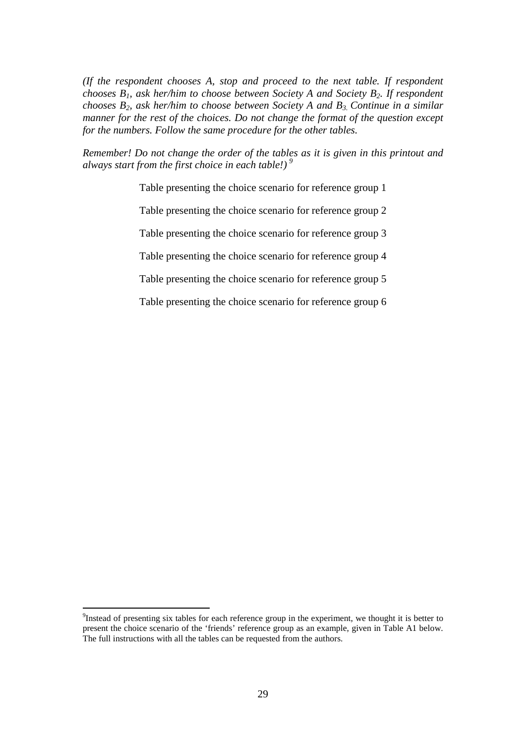*(If the respondent chooses A, stop and proceed to the next table. If respondent chooses B1, ask her/him to choose between Society A and Society B2. If respondent chooses B2, ask her/him to choose between Society A and B3. Continue in a similar manner for the rest of the choices. Do not change the format of the question except for the numbers. Follow the same procedure for the other tables.* 

*Remember! Do not change the order of the tables as it is given in this printout and always start from the first choice in each table!) [9](#page-24-0)*

Table presenting the choice scenario for reference group 1

Table presenting the choice scenario for reference group 2

Table presenting the choice scenario for reference group 3

Table presenting the choice scenario for reference group 4

Table presenting the choice scenario for reference group 5

Table presenting the choice scenario for reference group 6

<sup>-&</sup>lt;br>9 <sup>9</sup>Instead of presenting six tables for each reference group in the experiment, we thought it is better to present the choice scenario of the 'friends' reference group as an example, given in Table A1 below. The full instructions with all the tables can be requested from the authors.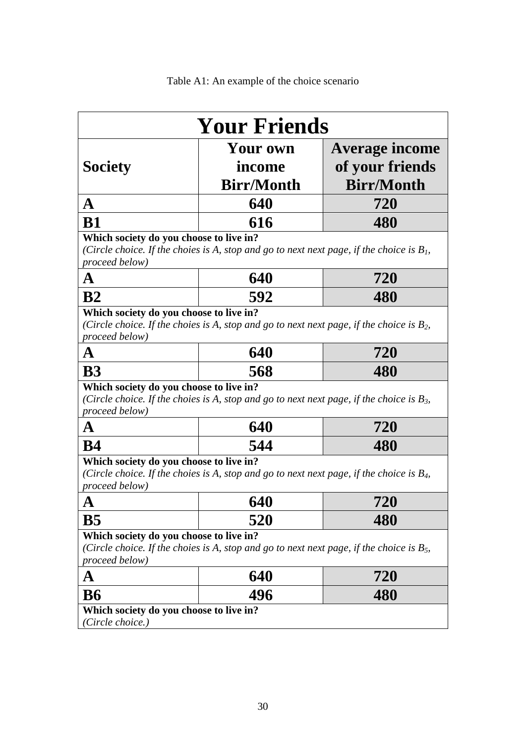| Table A1: An example of the choice scenario |
|---------------------------------------------|
|---------------------------------------------|

|                                                                                                                                                               | <b>Your Friends</b>                     |                                                        |
|---------------------------------------------------------------------------------------------------------------------------------------------------------------|-----------------------------------------|--------------------------------------------------------|
| <b>Society</b>                                                                                                                                                | Your own<br>income<br><b>Birr/Month</b> | Average income<br>of your friends<br><b>Birr/Month</b> |
| A                                                                                                                                                             | 640                                     | 720                                                    |
| <b>B1</b>                                                                                                                                                     | 616                                     | 480                                                    |
| Which society do you choose to live in?<br>(Circle choice. If the choies is A, stop and go to next next page, if the choice is $B1$ ,<br>proceed below)       |                                         |                                                        |
| A                                                                                                                                                             | 640                                     | 720                                                    |
| B <sub>2</sub>                                                                                                                                                | 592                                     | 480                                                    |
| Which society do you choose to live in?<br>(Circle choice. If the choies is A, stop and go to next next page, if the choice is $B_2$ ,<br>proceed below)      |                                         |                                                        |
| A                                                                                                                                                             | 640                                     | <b>720</b>                                             |
| <b>B3</b>                                                                                                                                                     | 568                                     | 480                                                    |
| Which society do you choose to live in?<br>(Circle choice. If the choies is A, stop and go to next next page, if the choice is $B_3$ ,<br>proceed below)<br>A | 640                                     | <b>720</b>                                             |
| <b>B4</b>                                                                                                                                                     | 544                                     | 480                                                    |
| Which society do you choose to live in?<br>(Circle choice. If the choies is A, stop and go to next next page, if the choice is $B_4$ ,<br>proceed below)<br>A | 640                                     | <u>121</u>                                             |
| B <sub>5</sub>                                                                                                                                                | 520                                     | 480                                                    |
| Which society do you choose to live in?<br>(Circle choice. If the choies is A, stop and go to next next page, if the choice is $B_5$ ,<br>proceed below)      |                                         |                                                        |
| A                                                                                                                                                             | 640                                     | 720                                                    |
| <b>B6</b>                                                                                                                                                     | 496                                     | 480                                                    |
| Which society do you choose to live in?<br>(Circle choice.)                                                                                                   |                                         |                                                        |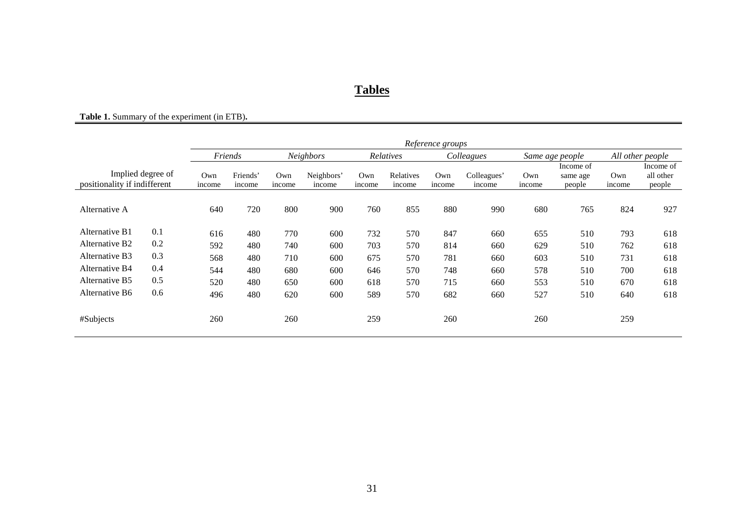## **Tables**

### **Table 1.** Summary of the experiment (in ETB)**.**

|                              |                   |               | Reference groups   |               |                      |               |                     |               |                       |                 |                                 |                  |                                  |
|------------------------------|-------------------|---------------|--------------------|---------------|----------------------|---------------|---------------------|---------------|-----------------------|-----------------|---------------------------------|------------------|----------------------------------|
|                              |                   |               | Friends            |               | Neighbors            |               | Relatives           | Colleagues    |                       | Same age people |                                 | All other people |                                  |
| positionality if indifferent | Implied degree of | Own<br>income | Friends'<br>income | Own<br>income | Neighbors'<br>income | Own<br>income | Relatives<br>income | Own<br>income | Colleagues'<br>income | Own<br>income   | Income of<br>same age<br>people | Own<br>income    | Income of<br>all other<br>people |
| Alternative A                |                   | 640           | 720                | 800           | 900                  | 760           | 855                 | 880           | 990                   | 680             | 765                             | 824              | 927                              |
| Alternative B1               | 0.1               | 616           | 480                | 770           | 600                  | 732           | 570                 | 847           | 660                   | 655             | 510                             | 793              | 618                              |
| Alternative B <sub>2</sub>   | 0.2               | 592           | 480                | 740           | 600                  | 703           | 570                 | 814           | 660                   | 629             | 510                             | 762              | 618                              |
| Alternative B3               | 0.3               | 568           | 480                | 710           | 600                  | 675           | 570                 | 781           | 660                   | 603             | 510                             | 731              | 618                              |
| Alternative B4               | 0.4               | 544           | 480                | 680           | 600                  | 646           | 570                 | 748           | 660                   | 578             | 510                             | 700              | 618                              |
| Alternative B5               | 0.5               | 520           | 480                | 650           | 600                  | 618           | 570                 | 715           | 660                   | 553             | 510                             | 670              | 618                              |
| Alternative B6               | 0.6               | 496           | 480                | 620           | 600                  | 589           | 570                 | 682           | 660                   | 527             | 510                             | 640              | 618                              |
| #Subjects                    |                   | 260           |                    | 260           |                      | 259           |                     | 260           |                       | 260             |                                 | 259              |                                  |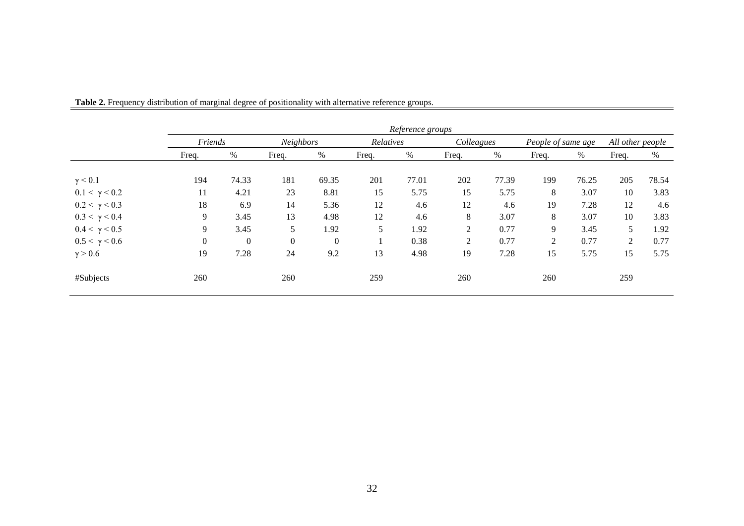|                      |                  |                |          |           |       | Reference groups |       |            |       |                    |                |                  |  |
|----------------------|------------------|----------------|----------|-----------|-------|------------------|-------|------------|-------|--------------------|----------------|------------------|--|
|                      |                  | Friends        |          | Neighbors |       | Relatives        |       | Colleagues |       | People of same age |                | All other people |  |
|                      | Freq.            | $\%$           | Freq.    | $\%$      | Freq. | $\%$             | Freq. | %          | Freq. | %                  | Freq.          | %                |  |
| $\gamma$ < 0.1       | 194              | 74.33          | 181      | 69.35     | 201   | 77.01            | 202   | 77.39      | 199   | 76.25              | 205            | 78.54            |  |
| $0.1 < \gamma < 0.2$ | 11               | 4.21           | 23       | 8.81      | 15    | 5.75             | 15    | 5.75       | 8     | 3.07               | 10             | 3.83             |  |
| $0.2 < \gamma < 0.3$ | 18               | 6.9            | 14       | 5.36      | 12    | 4.6              | 12    | 4.6        | 19    | 7.28               | 12             | 4.6              |  |
| $0.3 < \gamma < 0.4$ | 9                | 3.45           | 13       | 4.98      | 12    | 4.6              | 8     | 3.07       | 8     | 3.07               | 10             | 3.83             |  |
| $0.4 < \gamma < 0.5$ | 9                | 3.45           | 5        | 1.92      | 5     | 1.92             | 2     | 0.77       | 9     | 3.45               | 5              | 1.92             |  |
| $0.5 < \gamma < 0.6$ | $\boldsymbol{0}$ | $\overline{0}$ | $\theta$ | $\Omega$  |       | 0.38             | 2     | 0.77       | 2     | 0.77               | $\overline{2}$ | 0.77             |  |
| $\gamma > 0.6$       | 19               | 7.28           | 24       | 9.2       | 13    | 4.98             | 19    | 7.28       | 15    | 5.75               | 15             | 5.75             |  |
| #Subjects            | 260              |                | 260      |           | 259   |                  | 260   |            | 260   |                    | 259            |                  |  |

**Table 2.** Frequency distribution of marginal degree of positionality with alternative reference groups.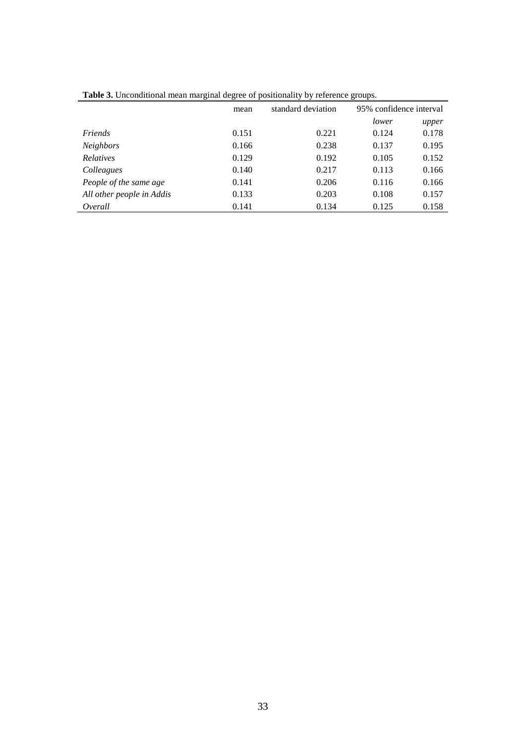| <b>rable 5.</b> Cheonumbial mean marginal degree or positionality by reference groups. |       |                    |       |                         |  |  |  |  |
|----------------------------------------------------------------------------------------|-------|--------------------|-------|-------------------------|--|--|--|--|
|                                                                                        | mean  | standard deviation |       | 95% confidence interval |  |  |  |  |
|                                                                                        |       |                    | lower | upper                   |  |  |  |  |
| Friends                                                                                | 0.151 | 0.221              | 0.124 | 0.178                   |  |  |  |  |
| <b>Neighbors</b>                                                                       | 0.166 | 0.238              | 0.137 | 0.195                   |  |  |  |  |
| <b>Relatives</b>                                                                       | 0.129 | 0.192              | 0.105 | 0.152                   |  |  |  |  |
| Colleagues                                                                             | 0.140 | 0.217              | 0.113 | 0.166                   |  |  |  |  |
| People of the same age                                                                 | 0.141 | 0.206              | 0.116 | 0.166                   |  |  |  |  |
| All other people in Addis                                                              | 0.133 | 0.203              | 0.108 | 0.157                   |  |  |  |  |
| Overall                                                                                | 0.141 | 0.134              | 0.125 | 0.158                   |  |  |  |  |

**Table 3.** Unconditional mean marginal degree of positionality by reference groups.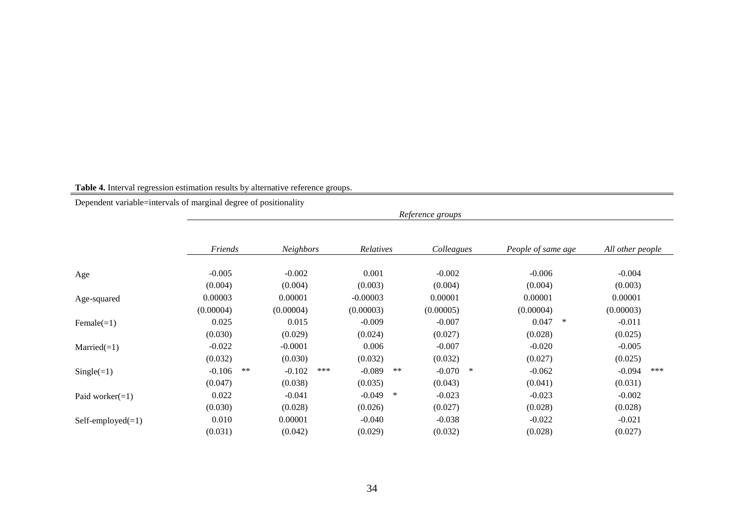#### **Table 4.** Interval regression estimation results by alternative reference groups.

Dependent variable=intervals of marginal degree of positionality

|                     |                |                 |                   | Reference groups   |                    |                  |
|---------------------|----------------|-----------------|-------------------|--------------------|--------------------|------------------|
|                     | Friends        | Neighbors       | Relatives         | Colleagues         | People of same age | All other people |
| Age                 | $-0.005$       | $-0.002$        | 0.001             | $-0.002$           | $-0.006$           | $-0.004$         |
|                     | (0.004)        | (0.004)         | (0.003)           | (0.004)            | (0.004)            | (0.003)          |
| Age-squared         | 0.00003        | 0.00001         | $-0.00003$        | 0.00001            | 0.00001            | 0.00001          |
|                     | (0.00004)      | (0.00004)       | (0.00003)         | (0.00005)          | (0.00004)          | (0.00003)        |
| Female $(=1)$       | 0.025          | 0.015           | $-0.009$          | $-0.007$           | 0.047<br>∗         | $-0.011$         |
|                     | (0.030)        | (0.029)         | (0.024)           | (0.027)            | (0.028)            | (0.025)          |
| $Married(=1)$       | $-0.022$       | $-0.0001$       | 0.006             | $-0.007$           | $-0.020$           | $-0.005$         |
|                     | (0.032)        | (0.030)         | (0.032)           | (0.032)            | (0.027)            | (0.025)          |
| $Single(=1)$        | **<br>$-0.106$ | ***<br>$-0.102$ | $-0.089$<br>$***$ | $\ast$<br>$-0.070$ | $-0.062$           | $-0.094$<br>***  |
|                     | (0.047)        | (0.038)         | (0.035)           | (0.043)            | (0.041)            | (0.031)          |
| Paid worker $(=1)$  | 0.022          | $-0.041$        | $-0.049$<br>∗     | $-0.023$           | $-0.023$           | $-0.002$         |
|                     | (0.030)        | (0.028)         | (0.026)           | (0.027)            | (0.028)            | (0.028)          |
| $Self-employed(=1)$ | 0.010          | 0.00001         | $-0.040$          | $-0.038$           | $-0.022$           | $-0.021$         |
|                     | (0.031)        | (0.042)         | (0.029)           | (0.032)            | (0.028)            | (0.027)          |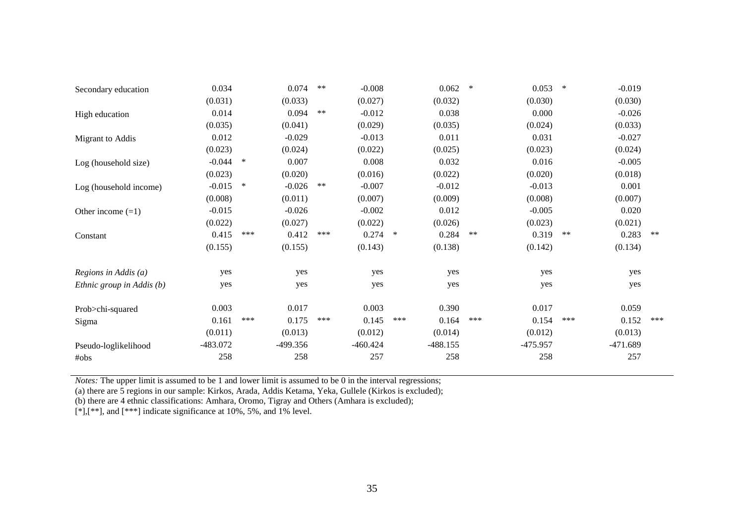| Secondary education       | 0.034      |        | 0.074      | $***$ | $-0.008$   |     | 0.062      | $\ast$ | 0.053      | $\ast$ | $-0.019$   |       |
|---------------------------|------------|--------|------------|-------|------------|-----|------------|--------|------------|--------|------------|-------|
|                           | (0.031)    |        | (0.033)    |       | (0.027)    |     | (0.032)    |        | (0.030)    |        | (0.030)    |       |
| High education            | 0.014      |        | 0.094      | $***$ | $-0.012$   |     | 0.038      |        | 0.000      |        | $-0.026$   |       |
|                           | (0.035)    |        | (0.041)    |       | (0.029)    |     | (0.035)    |        | (0.024)    |        | (0.033)    |       |
| Migrant to Addis          | 0.012      |        | $-0.029$   |       | $-0.013$   |     | 0.011      |        | 0.031      |        | $-0.027$   |       |
|                           | (0.023)    |        | (0.024)    |       | (0.022)    |     | (0.025)    |        | (0.023)    |        | (0.024)    |       |
| Log (household size)      | $-0.044$   | $\ast$ | 0.007      |       | 0.008      |     | 0.032      |        | 0.016      |        | $-0.005$   |       |
|                           | (0.023)    |        | (0.020)    |       | (0.016)    |     | (0.022)    |        | (0.020)    |        | (0.018)    |       |
| Log (household income)    | $-0.015$   | $\ast$ | $-0.026$   | $***$ | $-0.007$   |     | $-0.012$   |        | $-0.013$   |        | 0.001      |       |
|                           | (0.008)    |        | (0.011)    |       | (0.007)    |     | (0.009)    |        | (0.008)    |        | (0.007)    |       |
| Other income $(=1)$       | $-0.015$   |        | $-0.026$   |       | $-0.002$   |     | 0.012      |        | $-0.005$   |        | 0.020      |       |
|                           | (0.022)    |        | (0.027)    |       | (0.022)    |     | (0.026)    |        | (0.023)    |        | (0.021)    |       |
| Constant                  | 0.415      | ***    | 0.412      | ***   | $0.274$ *  |     | 0.284      | $**$   | 0.319      | $**$   | 0.283      | $***$ |
|                           | (0.155)    |        | (0.155)    |       | (0.143)    |     | (0.138)    |        | (0.142)    |        | (0.134)    |       |
| Regions in Addis $(a)$    | yes        |        | yes        |       | yes        |     | yes        |        | yes        |        | yes        |       |
| Ethnic group in Addis (b) | yes        |        | yes        |       | yes        |     | yes        |        | yes        |        | yes        |       |
| Prob>chi-squared          | 0.003      |        | 0.017      |       | 0.003      |     | 0.390      |        | 0.017      |        | 0.059      |       |
| Sigma                     | 0.161      | ***    | 0.175      | ***   | 0.145      | *** | 0.164      | ***    | 0.154      | ***    | 0.152      | ***   |
|                           | (0.011)    |        | (0.013)    |       | (0.012)    |     | (0.014)    |        | (0.012)    |        | (0.013)    |       |
| Pseudo-loglikelihood      | $-483.072$ |        | $-499.356$ |       | $-460.424$ |     | $-488.155$ |        | $-475.957$ |        | $-471.689$ |       |
| #obs                      | 258        |        | 258        |       | 257        |     | 258        |        | 258        |        | 257        |       |

*Notes:* The upper limit is assumed to be 1 and lower limit is assumed to be 0 in the interval regressions;

(a) there are 5 regions in our sample: Kirkos, Arada, Addis Ketama, Yeka, Gullele (Kirkos is excluded);

(b) there are 4 ethnic classifications: Amhara, Oromo, Tigray and Others (Amhara is excluded);

 $[$ \*], $[$ \*\*], and  $[$ \*\*\*] indicate significance at 10%, 5%, and 1% level.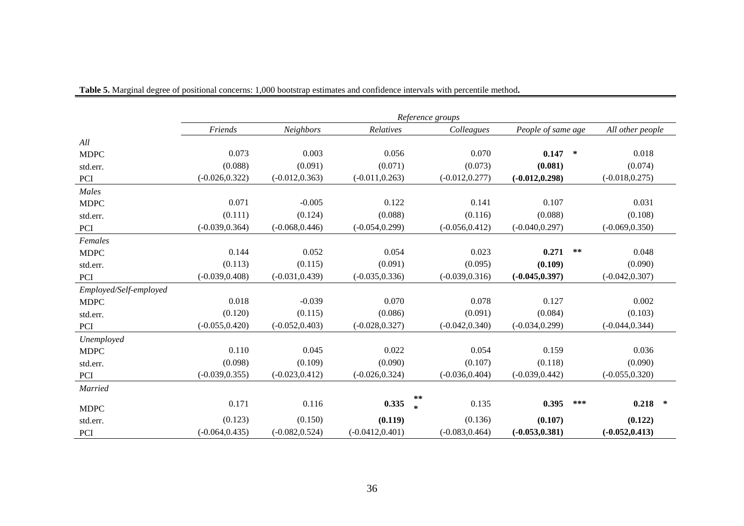|                        |                   |                   |                    |              | Reference groups  |                    |            |                   |  |
|------------------------|-------------------|-------------------|--------------------|--------------|-------------------|--------------------|------------|-------------------|--|
|                        | Friends           | Neighbors         | Relatives          |              | Colleagues        | People of same age |            | All other people  |  |
| All                    |                   |                   |                    |              |                   |                    |            |                   |  |
| <b>MDPC</b>            | 0.073             | 0.003             | 0.056              |              | 0.070             | 0.147              | $\ast$     | 0.018             |  |
| std.err.               | (0.088)           | (0.091)           | (0.071)            |              | (0.073)           | (0.081)            |            | (0.074)           |  |
| PCI                    | $(-0.026, 0.322)$ | $(-0.012, 0.363)$ | $(-0.011, 0.263)$  |              | $(-0.012, 0.277)$ | $(-0.012, 0.298)$  |            | $(-0.018, 0.275)$ |  |
| Males                  |                   |                   |                    |              |                   |                    |            |                   |  |
| <b>MDPC</b>            | 0.071             | $-0.005$          | 0.122              |              | 0.141             | 0.107              |            | 0.031             |  |
| std.err.               | (0.111)           | (0.124)           | (0.088)            |              | (0.116)           | (0.088)            |            | (0.108)           |  |
| PCI                    | $(-0.039, 0.364)$ | $(-0.068, 0.446)$ | $(-0.054, 0.299)$  |              | $(-0.056, 0.412)$ | $(-0.040, 0.297)$  |            | $(-0.069, 0.350)$ |  |
| Females                |                   |                   |                    |              |                   |                    |            |                   |  |
| <b>MDPC</b>            | 0.144             | 0.052             | 0.054              |              | 0.023             | 0.271              | $\ast\ast$ | 0.048             |  |
| std.err.               | (0.113)           | (0.115)           | (0.091)            |              | (0.095)           | (0.109)            |            | (0.090)           |  |
| PCI                    | $(-0.039, 0.408)$ | $(-0.031, 0.439)$ | $(-0.035, 0.336)$  |              | $(-0.039, 0.316)$ | $(-0.045, 0.397)$  |            | $(-0.042, 0.307)$ |  |
| Employed/Self-employed |                   |                   |                    |              |                   |                    |            |                   |  |
| <b>MDPC</b>            | 0.018             | $-0.039$          | 0.070              |              | 0.078             | 0.127              |            | 0.002             |  |
| std.err.               | (0.120)           | (0.115)           | (0.086)            |              | (0.091)           | (0.084)            |            | (0.103)           |  |
| PCI                    | $(-0.055, 0.420)$ | $(-0.052, 0.403)$ | $(-0.028, 0.327)$  |              | $(-0.042, 0.340)$ | $(-0.034, 0.299)$  |            | $(-0.044, 0.344)$ |  |
| Unemployed             |                   |                   |                    |              |                   |                    |            |                   |  |
| <b>MDPC</b>            | 0.110             | 0.045             | 0.022              |              | 0.054             | 0.159              |            | 0.036             |  |
| std.err.               | (0.098)           | (0.109)           | (0.090)            |              | (0.107)           | (0.118)            |            | (0.090)           |  |
| PCI                    | $(-0.039, 0.355)$ | $(-0.023, 0.412)$ | $(-0.026, 0.324)$  |              | $(-0.036, 0.404)$ | $(-0.039, 0.442)$  |            | $(-0.055, 0.320)$ |  |
| Married                |                   |                   |                    |              |                   |                    |            |                   |  |
| <b>MDPC</b>            | 0.171             | 0.116             | 0.335              | **<br>$\ast$ | 0.135             | 0.395              | ***        | $0.218$ *         |  |
| std.err.               | (0.123)           | (0.150)           | (0.119)            |              | (0.136)           | (0.107)            |            | (0.122)           |  |
| PCI                    | $(-0.064, 0.435)$ | $(-0.082, 0.524)$ | $(-0.0412, 0.401)$ |              | $(-0.083, 0.464)$ | $(-0.053, 0.381)$  |            | $(-0.052, 0.413)$ |  |

**Table 5.** Marginal degree of positional concerns: 1,000 bootstrap estimates and confidence intervals with percentile method**.**